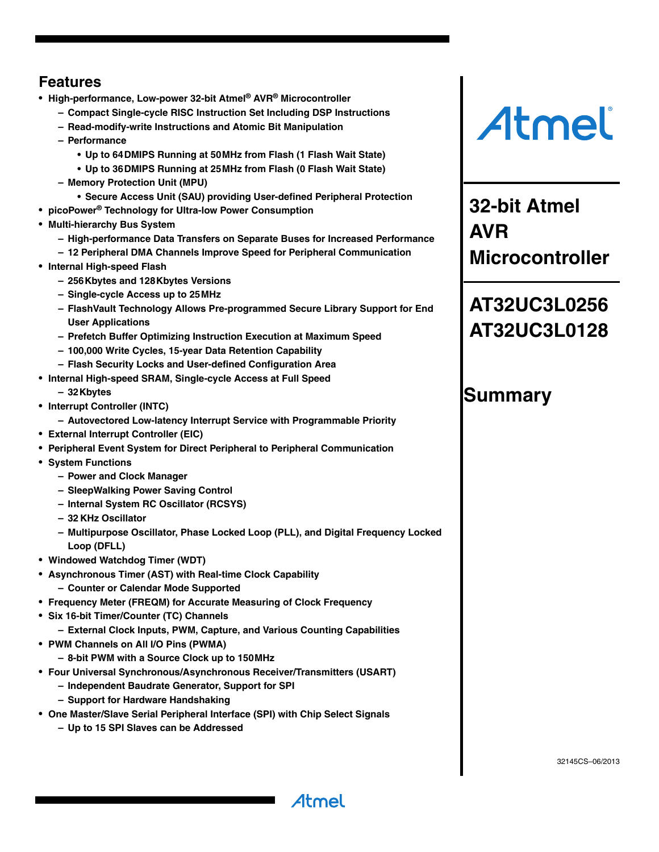# <span id="page-0-0"></span>**Features**

- **High-performance, Low-power 32-bit Atmel® AVR® Microcontroller**
	- **Compact Single-cycle RISC Instruction Set Including DSP Instructions**
	- **Read-modify-write Instructions and Atomic Bit Manipulation**
	- **Performance**
		- **Up to 64DMIPS Running at 50MHz from Flash (1 Flash Wait State)**
		- **Up to 36DMIPS Running at 25MHz from Flash (0 Flash Wait State)**
	- **Memory Protection Unit (MPU)**
		- **Secure Access Unit (SAU) providing User-defined Peripheral Protection**
- **picoPower® Technology for Ultra-low Power Consumption**
- **Multi-hierarchy Bus System**
	- **High-performance Data Transfers on Separate Buses for Increased Performance**
	- **12 Peripheral DMA Channels Improve Speed for Peripheral Communication**
- **Internal High-speed Flash**
	- **256Kbytes and 128Kbytes Versions**
	- **Single-cycle Access up to 25MHz**
	- **FlashVault Technology Allows Pre-programmed Secure Library Support for End User Applications**
	- **Prefetch Buffer Optimizing Instruction Execution at Maximum Speed**
	- **100,000 Write Cycles, 15-year Data Retention Capability**
	- **Flash Security Locks and User-defined Configuration Area**
- **Internal High-speed SRAM, Single-cycle Access at Full Speed**
	- **32Kbytes**
- **Interrupt Controller (INTC)**
	- **Autovectored Low-latency Interrupt Service with Programmable Priority**
- **External Interrupt Controller (EIC)**
- **Peripheral Event System for Direct Peripheral to Peripheral Communication**
- **System Functions**
	- **Power and Clock Manager**
	- **SleepWalking Power Saving Control**
	- **Internal System RC Oscillator (RCSYS)**
	- **32 KHz Oscillator**
	- **Multipurpose Oscillator, Phase Locked Loop (PLL), and Digital Frequency Locked Loop (DFLL)**

Atmel

- **Windowed Watchdog Timer (WDT)**
- **Asynchronous Timer (AST) with Real-time Clock Capability**
	- **Counter or Calendar Mode Supported**
- **Frequency Meter (FREQM) for Accurate Measuring of Clock Frequency**
- **Six 16-bit Timer/Counter (TC) Channels**
	- **External Clock Inputs, PWM, Capture, and Various Counting Capabilities**
- **PWM Channels on All I/O Pins (PWMA)**
	- **8-bit PWM with a Source Clock up to 150MHz**
- **Four Universal Synchronous/Asynchronous Receiver/Transmitters (USART)** 
	- **Independent Baudrate Generator, Support for SPI**
		- **Support for Hardware Handshaking**
- **One Master/Slave Serial Peripheral Interface (SPI) with Chip Select Signals**
	- **Up to 15 SPI Slaves can be Addressed**

# Atmel

**32-bit Atmel AVR Microcontroller**

# **AT32UC3L0256 AT32UC3L0128**

# **Summary**

32145CS–06/2013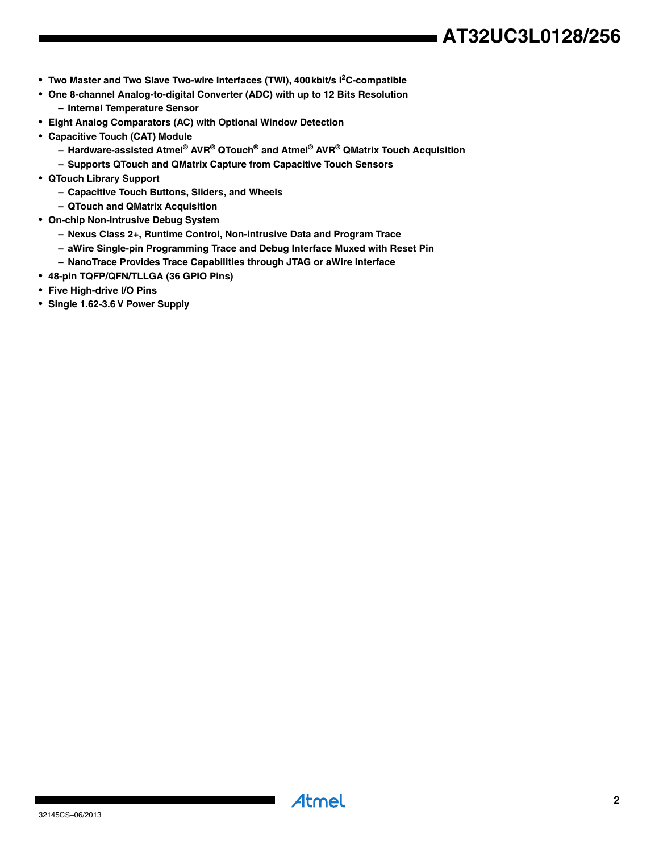# **AT32UC3L0128/256**

- **Two Master and Two Slave Two-wire Interfaces (TWI), 400 kbit/s I<sup>2</sup>C-compatible**
- **One 8-channel Analog-to-digital Converter (ADC) with up to 12 Bits Resolution – Internal Temperature Sensor**
- **Eight Analog Comparators (AC) with Optional Window Detection**
- **Capacitive Touch (CAT) Module**
	- **Hardware-assisted Atmel® AVR® QTouch® and Atmel® AVR® QMatrix Touch Acquisition**
	- **Supports QTouch and QMatrix Capture from Capacitive Touch Sensors**
- **QTouch Library Support**
	- **Capacitive Touch Buttons, Sliders, and Wheels**
	- **QTouch and QMatrix Acquisition**
- **On-chip Non-intrusive Debug System**
	- **Nexus Class 2+, Runtime Control, Non-intrusive Data and Program Trace**
	- **aWire Single-pin Programming Trace and Debug Interface Muxed with Reset Pin**
	- **NanoTrace Provides Trace Capabilities through JTAG or aWire Interface**
- **48-pin TQFP/QFN/TLLGA (36 GPIO Pins)**
- **Five High-drive I/O Pins**
- **Single 1.62-3.6 V Power Supply**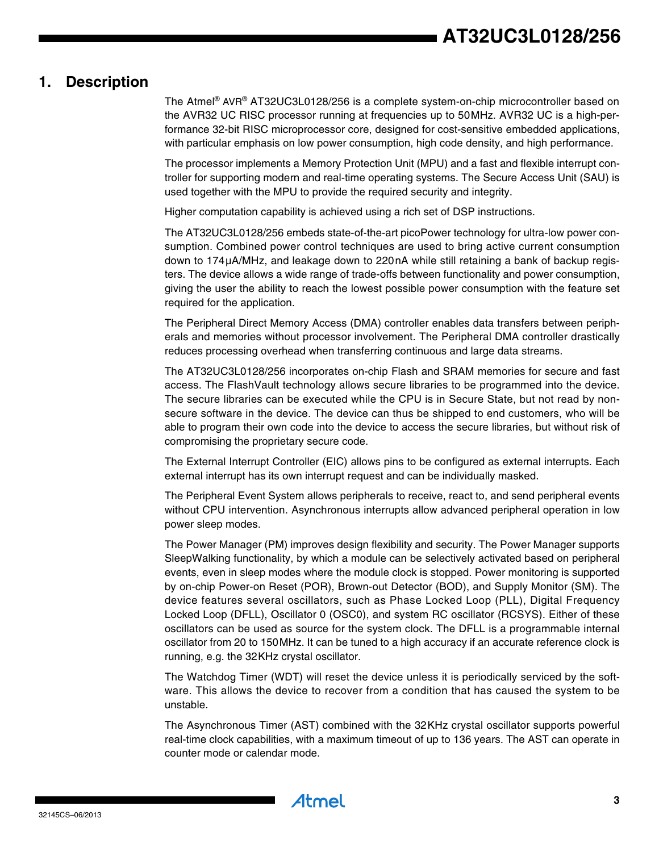# <span id="page-2-0"></span>**1. Description**

The Atmel® AVR® AT32UC3L0128/256 is a complete system-on-chip microcontroller based on the AVR32 UC RISC processor running at frequencies up to 50MHz. AVR32 UC is a high-performance 32-bit RISC microprocessor core, designed for cost-sensitive embedded applications, with particular emphasis on low power consumption, high code density, and high performance.

The processor implements a Memory Protection Unit (MPU) and a fast and flexible interrupt controller for supporting modern and real-time operating systems. The Secure Access Unit (SAU) is used together with the MPU to provide the required security and integrity.

Higher computation capability is achieved using a rich set of DSP instructions.

The AT32UC3L0128/256 embeds state-of-the-art picoPower technology for ultra-low power consumption. Combined power control techniques are used to bring active current consumption down to 174µA/MHz, and leakage down to 220nA while still retaining a bank of backup registers. The device allows a wide range of trade-offs between functionality and power consumption, giving the user the ability to reach the lowest possible power consumption with the feature set required for the application.

The Peripheral Direct Memory Access (DMA) controller enables data transfers between peripherals and memories without processor involvement. The Peripheral DMA controller drastically reduces processing overhead when transferring continuous and large data streams.

The AT32UC3L0128/256 incorporates on-chip Flash and SRAM memories for secure and fast access. The FlashVault technology allows secure libraries to be programmed into the device. The secure libraries can be executed while the CPU is in Secure State, but not read by nonsecure software in the device. The device can thus be shipped to end customers, who will be able to program their own code into the device to access the secure libraries, but without risk of compromising the proprietary secure code.

The External Interrupt Controller (EIC) allows pins to be configured as external interrupts. Each external interrupt has its own interrupt request and can be individually masked.

The Peripheral Event System allows peripherals to receive, react to, and send peripheral events without CPU intervention. Asynchronous interrupts allow advanced peripheral operation in low power sleep modes.

The Power Manager (PM) improves design flexibility and security. The Power Manager supports SleepWalking functionality, by which a module can be selectively activated based on peripheral events, even in sleep modes where the module clock is stopped. Power monitoring is supported by on-chip Power-on Reset (POR), Brown-out Detector (BOD), and Supply Monitor (SM). The device features several oscillators, such as Phase Locked Loop (PLL), Digital Frequency Locked Loop (DFLL), Oscillator 0 (OSC0), and system RC oscillator (RCSYS). Either of these oscillators can be used as source for the system clock. The DFLL is a programmable internal oscillator from 20 to 150MHz. It can be tuned to a high accuracy if an accurate reference clock is running, e.g. the 32KHz crystal oscillator.

The Watchdog Timer (WDT) will reset the device unless it is periodically serviced by the software. This allows the device to recover from a condition that has caused the system to be unstable.

The Asynchronous Timer (AST) combined with the 32KHz crystal oscillator supports powerful real-time clock capabilities, with a maximum timeout of up to 136 years. The AST can operate in counter mode or calendar mode.

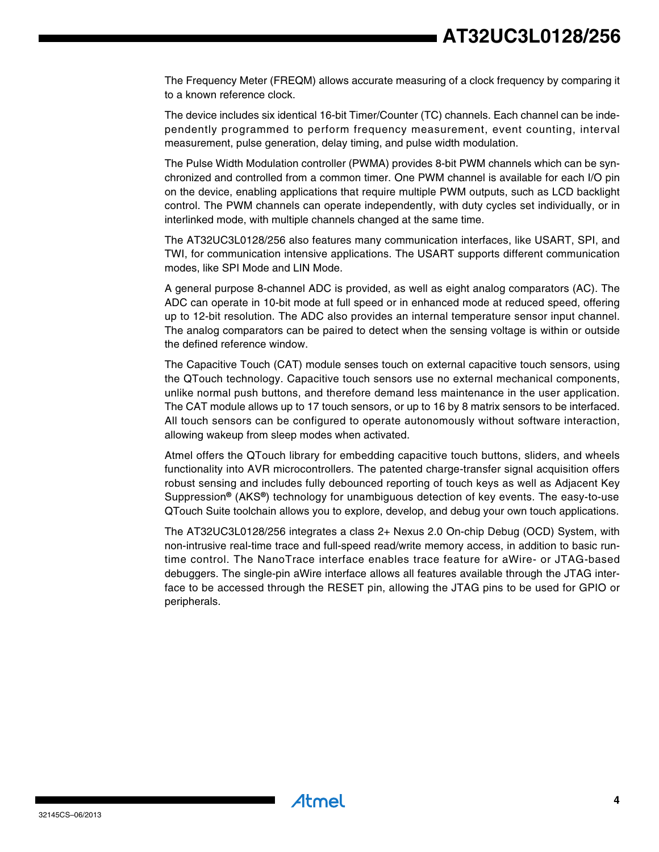The Frequency Meter (FREQM) allows accurate measuring of a clock frequency by comparing it to a known reference clock.

The device includes six identical 16-bit Timer/Counter (TC) channels. Each channel can be independently programmed to perform frequency measurement, event counting, interval measurement, pulse generation, delay timing, and pulse width modulation.

The Pulse Width Modulation controller (PWMA) provides 8-bit PWM channels which can be synchronized and controlled from a common timer. One PWM channel is available for each I/O pin on the device, enabling applications that require multiple PWM outputs, such as LCD backlight control. The PWM channels can operate independently, with duty cycles set individually, or in interlinked mode, with multiple channels changed at the same time.

The AT32UC3L0128/256 also features many communication interfaces, like USART, SPI, and TWI, for communication intensive applications. The USART supports different communication modes, like SPI Mode and LIN Mode.

A general purpose 8-channel ADC is provided, as well as eight analog comparators (AC). The ADC can operate in 10-bit mode at full speed or in enhanced mode at reduced speed, offering up to 12-bit resolution. The ADC also provides an internal temperature sensor input channel. The analog comparators can be paired to detect when the sensing voltage is within or outside the defined reference window.

The Capacitive Touch (CAT) module senses touch on external capacitive touch sensors, using the QTouch technology. Capacitive touch sensors use no external mechanical components, unlike normal push buttons, and therefore demand less maintenance in the user application. The CAT module allows up to 17 touch sensors, or up to 16 by 8 matrix sensors to be interfaced. All touch sensors can be configured to operate autonomously without software interaction, allowing wakeup from sleep modes when activated.

Atmel offers the QTouch library for embedding capacitive touch buttons, sliders, and wheels functionality into AVR microcontrollers. The patented charge-transfer signal acquisition offers robust sensing and includes fully debounced reporting of touch keys as well as Adjacent Key Suppression**®** (AKS**®**) technology for unambiguous detection of key events. The easy-to-use QTouch Suite toolchain allows you to explore, develop, and debug your own touch applications.

The AT32UC3L0128/256 integrates a class 2+ Nexus 2.0 On-chip Debug (OCD) System, with non-intrusive real-time trace and full-speed read/write memory access, in addition to basic runtime control. The NanoTrace interface enables trace feature for aWire- or JTAG-based debuggers. The single-pin aWire interface allows all features available through the JTAG interface to be accessed through the RESET pin, allowing the JTAG pins to be used for GPIO or peripherals.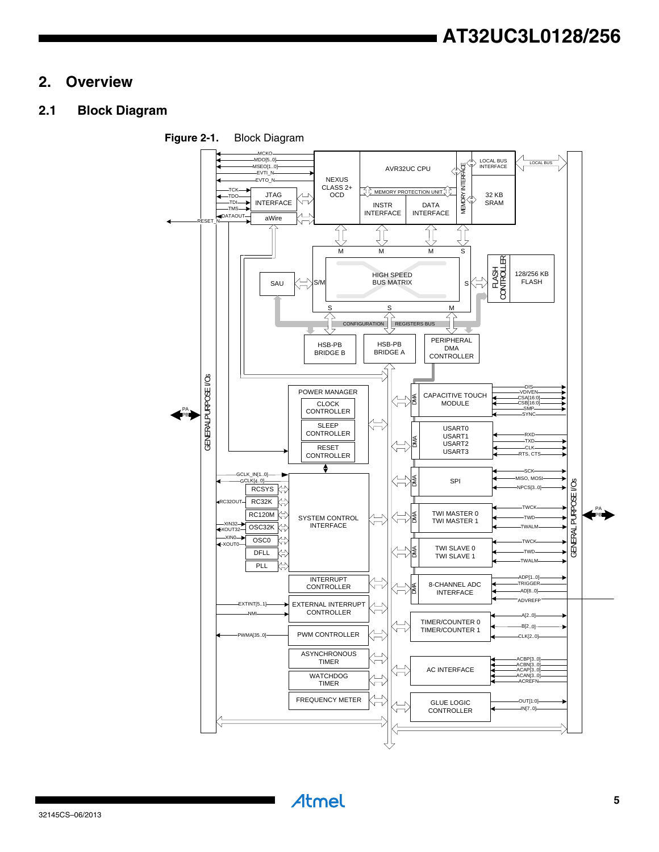# <span id="page-4-0"></span>**2. Overview**

# <span id="page-4-1"></span>**2.1 Block Diagram**

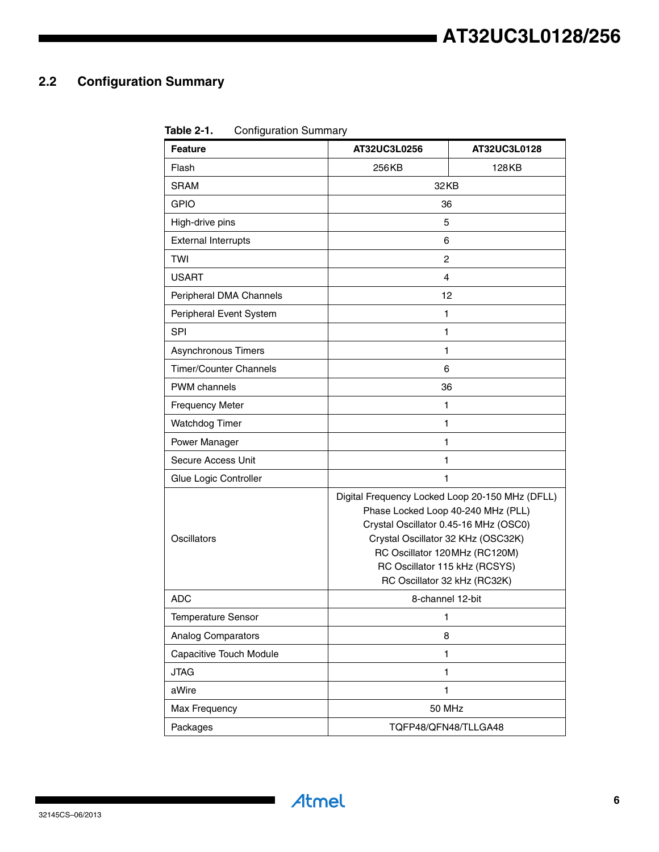# <span id="page-5-0"></span>**2.2 Configuration Summary**

**Table 2-1.** Configuration Summary

| <b>Feature</b>                | AT32UC3L0256                                                                                                                                                                                                                                                           | AT32UC3L0128 |  |  |  |
|-------------------------------|------------------------------------------------------------------------------------------------------------------------------------------------------------------------------------------------------------------------------------------------------------------------|--------------|--|--|--|
| Flash                         | 256 KB                                                                                                                                                                                                                                                                 | 128KB        |  |  |  |
| <b>SRAM</b>                   | 32KB                                                                                                                                                                                                                                                                   |              |  |  |  |
| <b>GPIO</b>                   | 36                                                                                                                                                                                                                                                                     |              |  |  |  |
| High-drive pins               | 5                                                                                                                                                                                                                                                                      |              |  |  |  |
| <b>External Interrupts</b>    | 6                                                                                                                                                                                                                                                                      |              |  |  |  |
| <b>TWI</b>                    | 2                                                                                                                                                                                                                                                                      |              |  |  |  |
| <b>USART</b>                  | 4                                                                                                                                                                                                                                                                      |              |  |  |  |
| Peripheral DMA Channels       | 12                                                                                                                                                                                                                                                                     |              |  |  |  |
| Peripheral Event System       | $\mathbf{1}$                                                                                                                                                                                                                                                           |              |  |  |  |
| SPI                           | $\mathbf{1}$                                                                                                                                                                                                                                                           |              |  |  |  |
| <b>Asynchronous Timers</b>    | 1                                                                                                                                                                                                                                                                      |              |  |  |  |
| <b>Timer/Counter Channels</b> | 6                                                                                                                                                                                                                                                                      |              |  |  |  |
| <b>PWM</b> channels           | 36                                                                                                                                                                                                                                                                     |              |  |  |  |
| <b>Frequency Meter</b>        | 1                                                                                                                                                                                                                                                                      |              |  |  |  |
| Watchdog Timer                | 1                                                                                                                                                                                                                                                                      |              |  |  |  |
| Power Manager                 | 1                                                                                                                                                                                                                                                                      |              |  |  |  |
| Secure Access Unit            | 1                                                                                                                                                                                                                                                                      |              |  |  |  |
| Glue Logic Controller         | 1                                                                                                                                                                                                                                                                      |              |  |  |  |
| Oscillators                   | Digital Frequency Locked Loop 20-150 MHz (DFLL)<br>Phase Locked Loop 40-240 MHz (PLL)<br>Crystal Oscillator 0.45-16 MHz (OSC0)<br>Crystal Oscillator 32 KHz (OSC32K)<br>RC Oscillator 120MHz (RC120M)<br>RC Oscillator 115 kHz (RCSYS)<br>RC Oscillator 32 kHz (RC32K) |              |  |  |  |
| <b>ADC</b>                    | 8-channel 12-bit                                                                                                                                                                                                                                                       |              |  |  |  |
| <b>Temperature Sensor</b>     | 1                                                                                                                                                                                                                                                                      |              |  |  |  |
| <b>Analog Comparators</b>     | 8                                                                                                                                                                                                                                                                      |              |  |  |  |
| Capacitive Touch Module       | $\mathbf{1}$                                                                                                                                                                                                                                                           |              |  |  |  |
| <b>JTAG</b>                   | $\mathbf{1}$                                                                                                                                                                                                                                                           |              |  |  |  |
| aWire                         | $\mathbf{1}$                                                                                                                                                                                                                                                           |              |  |  |  |
| Max Frequency                 | 50 MHz                                                                                                                                                                                                                                                                 |              |  |  |  |
| Packages                      | TQFP48/QFN48/TLLGA48                                                                                                                                                                                                                                                   |              |  |  |  |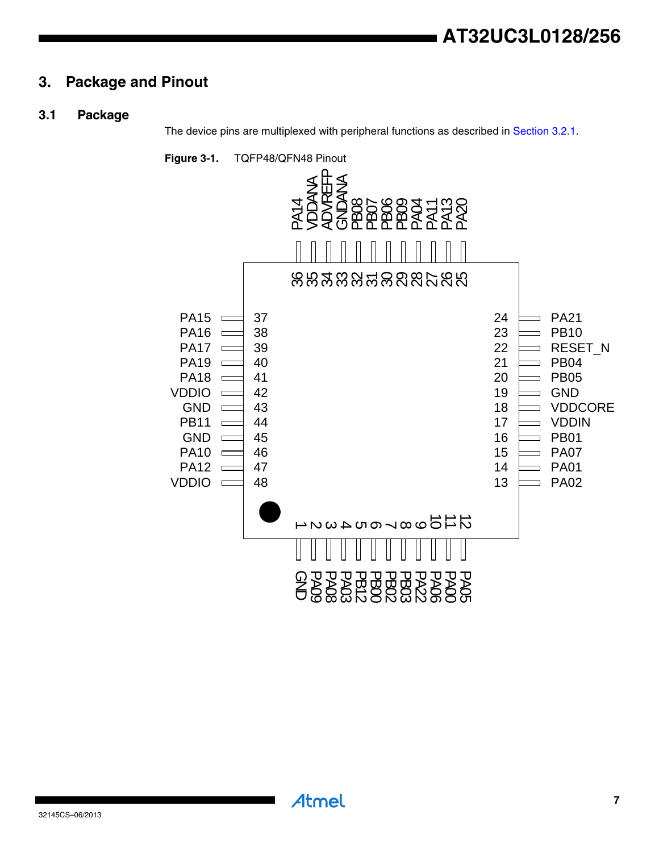# <span id="page-6-0"></span>**3. Package and Pinout**

### <span id="page-6-1"></span>**3.1 Package**

The device pins are multiplexed with peripheral functions as described in [Section 3.2.1](#page-7-0).



Atmel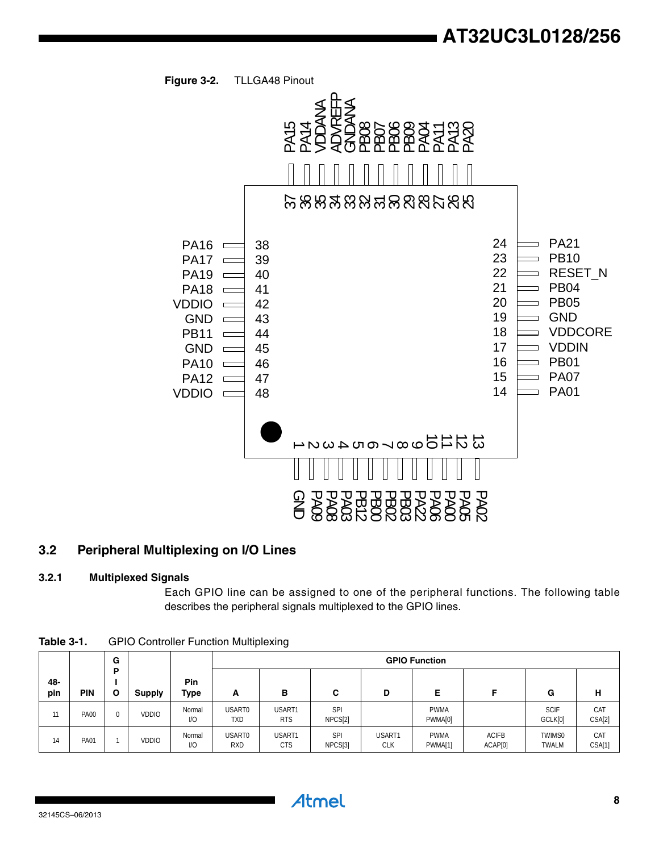



# <span id="page-7-1"></span>**3.2 Peripheral Multiplexing on I/O Lines**

#### <span id="page-7-0"></span>**3.2.1 Multiplexed Signals**

Each GPIO line can be assigned to one of the peripheral functions. The following table

|            |             | G        |               |                    |                      | <b>GPIO Function</b> |                       |                      |                        |                         |                               |               |
|------------|-------------|----------|---------------|--------------------|----------------------|----------------------|-----------------------|----------------------|------------------------|-------------------------|-------------------------------|---------------|
| 48-<br>pin | <b>PIN</b>  | Þ<br>O   | <b>Supply</b> | <b>Pin</b><br>Type | A                    | в                    | С                     | D                    | Е                      |                         | G                             | н             |
| 11         | <b>PA00</b> | $\Omega$ | <b>VDDIO</b>  | Normal<br>1/O      | USART0<br><b>TXD</b> | USART1<br><b>RTS</b> | <b>SPI</b><br>NPCS[2] |                      | <b>PWMA</b><br>PWMA[0] |                         | <b>SCIF</b><br>GCLK[0]        | CAT<br>CSA[2] |
| 14         | <b>PA01</b> |          | <b>VDDIO</b>  | Normal<br>1/O      | USART0<br><b>RXD</b> | USART1<br><b>CTS</b> | <b>SPI</b><br>NPCS[3] | USART1<br><b>CLK</b> | <b>PWMA</b><br>PWMA[1] | <b>ACIFB</b><br>ACAP[0] | <b>TWIMS0</b><br><b>TWALM</b> | CAT<br>CSA[1] |

**Table 3-1.** GPIO Controller Function Multiplexing

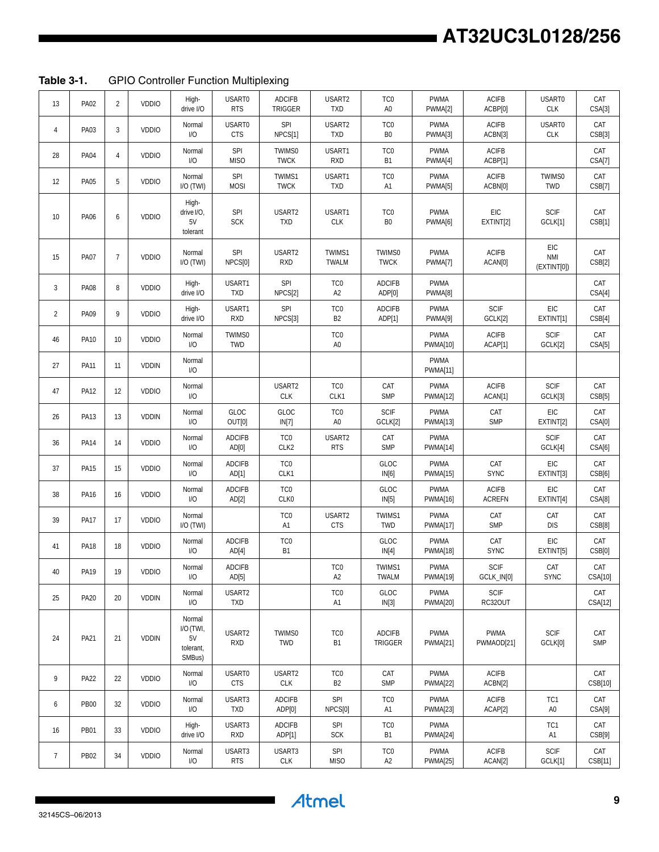# **AT32UC3L0128/256**

**Table 3-1.** GPIO Controller Function Multiplexing

| 13              | <b>PA02</b> | $\overline{2}$ | VDDIO        | High-<br>drive I/O                               | USART0<br><b>RTS</b>     | <b>ADCIFB</b><br><b>TRIGGER</b> | USART2<br><b>TXD</b>              | TC <sub>0</sub><br>A <sub>0</sub> | <b>PWMA</b><br>PWMA[2]         | <b>ACIFB</b><br>ACBP[0]       | USART0<br>CLK                   | CAT<br>CSA[3]     |
|-----------------|-------------|----------------|--------------|--------------------------------------------------|--------------------------|---------------------------------|-----------------------------------|-----------------------------------|--------------------------------|-------------------------------|---------------------------------|-------------------|
| $\overline{4}$  | PA03        | $\overline{3}$ | VDDIO        | Normal<br>I/O                                    | USART0<br><b>CTS</b>     | SPI<br>NPCS[1]                  | USART2<br><b>TXD</b>              | TC <sub>0</sub><br>B <sub>0</sub> | <b>PWMA</b><br>PWMA[3]         | <b>ACIFB</b><br>ACBN[3]       | USART0<br>CLK                   | CAT<br>CSB[3]     |
| 28              | <b>PA04</b> | $\overline{4}$ | VDDIO        | Normal<br>I/O                                    | SPI<br><b>MISO</b>       | TWIMS0<br><b>TWCK</b>           | USART1<br><b>RXD</b>              | TC <sub>0</sub><br><b>B1</b>      | <b>PWMA</b><br>PWMA[4]         | <b>ACIFB</b><br>ACBP[1]       |                                 | CAT<br>CSA[7]     |
| 12              | <b>PA05</b> | 5              | VDDIO        | Normal<br>I/O (TWI)                              | SPI<br><b>MOSI</b>       | TWIMS1<br><b>TWCK</b>           | USART1<br><b>TXD</b>              | TC <sub>0</sub><br>A1             | <b>PWMA</b><br>PWMA[5]         | <b>ACIFB</b><br>ACBN[0]       | TWIMS0<br><b>TWD</b>            | CAT<br>CSB[7]     |
| 10              | PA06        | 6              | VDDIO        | High-<br>drive I/O,<br>5V<br>tolerant            | <b>SPI</b><br><b>SCK</b> | USART2<br><b>TXD</b>            | USART1<br>CLK                     | TC <sub>0</sub><br>B <sub>0</sub> | <b>PWMA</b><br>PWMA[6]         | EIC<br>EXTINT[2]              | <b>SCIF</b><br>GCLK[1]          | CAT<br>CSB[1]     |
| 15              | <b>PA07</b> | $\overline{7}$ | VDDIO        | Normal<br>I/O (TWI)                              | SPI<br>NPCS[0]           | USART2<br><b>RXD</b>            | TWIMS1<br>TWALM                   | TWIMS0<br><b>TWCK</b>             | <b>PWMA</b><br>PWMA[7]         | <b>ACIFB</b><br>ACAN[0]       | EIC<br><b>NMI</b><br>(EXINT[0]) | CAT<br>CSB[2]     |
| 3               | <b>PA08</b> | 8              | <b>VDDIO</b> | High-<br>drive I/O                               | USART1<br><b>TXD</b>     | <b>SPI</b><br>NPCS[2]           | TC <sub>0</sub><br>A <sub>2</sub> | <b>ADCIFB</b><br>ADP[0]           | <b>PWMA</b><br>PWMA[8]         |                               |                                 | CAT<br>CSA[4]     |
| $\overline{2}$  | PA09        | 9              | <b>VDDIO</b> | High-<br>drive I/O                               | USART1<br><b>RXD</b>     | <b>SPI</b><br>NPCS[3]           | TC <sub>0</sub><br>B <sub>2</sub> | <b>ADCIFB</b><br>ADP[1]           | <b>PWMA</b><br>PWMA[9]         | SCIF<br>GCLK[2]               | EIC<br>EXTINT[1]                | CAT<br>CSB[4]     |
| 46              | <b>PA10</b> | 10             | <b>VDDIO</b> | Normal<br>1/O                                    | TWIMS0<br>TWD            |                                 | TC <sub>0</sub><br>A <sub>0</sub> |                                   | <b>PWMA</b><br><b>PWMA[10]</b> | <b>ACIFB</b><br>ACAP[1]       | <b>SCIF</b><br>GCLK[2]          | CAT<br>CSA[5]     |
| 27              | <b>PA11</b> | 11             | <b>VDDIN</b> | Normal<br>1/O                                    |                          |                                 |                                   |                                   | <b>PWMA</b><br><b>PWMA[11]</b> |                               |                                 |                   |
| 47              | <b>PA12</b> | 12             | VDDIO        | Normal<br>1/O                                    |                          | USART2<br><b>CLK</b>            | TC <sub>0</sub><br>CLK1           | CAT<br><b>SMP</b>                 | <b>PWMA</b><br><b>PWMA[12]</b> | <b>ACIFB</b><br>ACAN[1]       | <b>SCIF</b><br>GCLK[3]          | CAT<br>CSB[5]     |
| 26              | <b>PA13</b> | 13             | <b>VDDIN</b> | Normal<br>1/O                                    | GLOC<br>OUT[0]           | GLOC<br>IN[7]                   | TC <sub>0</sub><br>A <sub>0</sub> | SCIF<br>GCLK[2]                   | <b>PWMA</b><br><b>PWMA[13]</b> | CAT<br><b>SMP</b>             | EIC<br>EXTINT[2]                | CAT<br>CSA[0]     |
| 36              | <b>PA14</b> | 14             | VDDIO        | Normal<br>1/O                                    | <b>ADCIFB</b><br>AD[0]   | TC <sub>0</sub><br>CLK2         | USART2<br><b>RTS</b>              | CAT<br><b>SMP</b>                 | <b>PWMA</b><br>PWMA[14]        |                               | <b>SCIF</b><br>GCLK[4]          | CAT<br>CSA[6]     |
| 37              | <b>PA15</b> | 15             | VDDIO        | Normal<br>1/O                                    | <b>ADCIFB</b><br>AD[1]   | TC <sub>0</sub><br>CLK1         |                                   | GLOC<br>IN[6]                     | <b>PWMA</b><br><b>PWMA[15]</b> | CAT<br><b>SYNC</b>            | EIC<br>EXTINT[3]                | CAT<br>CSB[6]     |
| 38              | PA16        | 16             | VDDIO        | Normal<br>1/O                                    | <b>ADCIFB</b><br>AD[2]   | TC <sub>0</sub><br>CLK0         |                                   | GLOC<br>IN[5]                     | <b>PWMA</b><br>PWMA[16]        | <b>ACIFB</b><br><b>ACREFN</b> | EIC<br>EXTINT[4]                | CAT<br>CSA[8]     |
| 39              | <b>PA17</b> | 17             | <b>VDDIO</b> | Normal<br>I/O (TWI)                              |                          | TC <sub>0</sub><br>A1           | USART2<br><b>CTS</b>              | TWIMS1<br>TWD                     | <b>PWMA</b><br><b>PWMA[17]</b> | CAT<br><b>SMP</b>             | CAT<br><b>DIS</b>               | CAT<br>CSB[8]     |
| 41              | <b>PA18</b> | 18             | <b>VDDIO</b> | Normal<br>1/O                                    | <b>ADCIFB</b><br>AD[4]   | TC <sub>0</sub><br><b>B1</b>    |                                   | GLOC<br>IN[4]                     | <b>PWMA</b><br>PWMA[18]        | CAT<br><b>SYNC</b>            | EIC<br>EXTINT[5]                | CAT<br>CSB[0]     |
| 40              | <b>PA19</b> | 19             | VDDIO        | Normal<br>I/O                                    | <b>ADCIFB</b><br>AD[5]   |                                 | TC <sub>0</sub><br>A2             | TWIMS1<br>TWALM                   | <b>PWMA</b><br><b>PWMA[19]</b> | SCIF<br>GCLK_IN[0]            | CAT<br><b>SYNC</b>              | CAT<br>CSA[10]    |
| 25              | <b>PA20</b> | 20             | <b>VDDIN</b> | Normal<br>I/O                                    | USART2<br><b>TXD</b>     |                                 | TC <sub>0</sub><br>A <sub>1</sub> | GLOC<br>IN[3]                     | PWMA<br><b>PWMA[20]</b>        | <b>SCIF</b><br>RC32OUT        |                                 | CAT<br>CSA[12]    |
| 24              | PA21        | 21             | <b>VDDIN</b> | Normal<br>I/O (TWI,<br>5V<br>tolerant,<br>SMBus) | USART2<br><b>RXD</b>     | TWIMS0<br>TWD                   | TC <sub>0</sub><br><b>B1</b>      | <b>ADCIFB</b><br>TRIGGER          | <b>PWMA</b><br><b>PWMA[21]</b> | <b>PWMA</b><br>PWMAOD[21]     | SCIF<br>GCLK[0]                 | CAT<br><b>SMP</b> |
| 9               | <b>PA22</b> | 22             | <b>VDDIO</b> | Normal<br>1/O                                    | USART0<br><b>CTS</b>     | USART2<br><b>CLK</b>            | TC <sub>0</sub><br>B <sub>2</sub> | CAT<br><b>SMP</b>                 | <b>PWMA</b><br><b>PWMA[22]</b> | <b>ACIFB</b><br>ACBN[2]       |                                 | CAT<br>CSB[10]    |
| 6               | <b>PB00</b> | 32             | <b>VDDIO</b> | Normal<br>I/O                                    | USART3<br><b>TXD</b>     | <b>ADCIFB</b><br>ADP[0]         | SPI<br>NPCS[0]                    | TC <sub>0</sub><br>A1             | <b>PWMA</b><br><b>PWMA[23]</b> | <b>ACIFB</b><br>ACAP[2]       | TC1<br>A <sub>0</sub>           | CAT<br>CSA[9]     |
| 16              | <b>PB01</b> | 33             | <b>VDDIO</b> | High-<br>drive I/O                               | USART3<br>RXD            | <b>ADCIFB</b><br>ADP[1]         | <b>SPI</b><br><b>SCK</b>          | TC <sub>0</sub><br>Β1             | <b>PWMA</b><br><b>PWMA[24]</b> |                               | TC1<br>A1                       | CAT<br>CSB[9]     |
| $7\phantom{.0}$ | PB02        | 34             | <b>VDDIO</b> | Normal<br>I/O                                    | USART3<br><b>RTS</b>     | USART3<br><b>CLK</b>            | <b>SPI</b><br><b>MISO</b>         | TC <sub>0</sub><br>A <sub>2</sub> | PWMA<br><b>PWMA[25]</b>        | ACIFB<br>ACAN[2]              | <b>SCIF</b><br>GCLK[1]          | CAT<br>CSB[11]    |

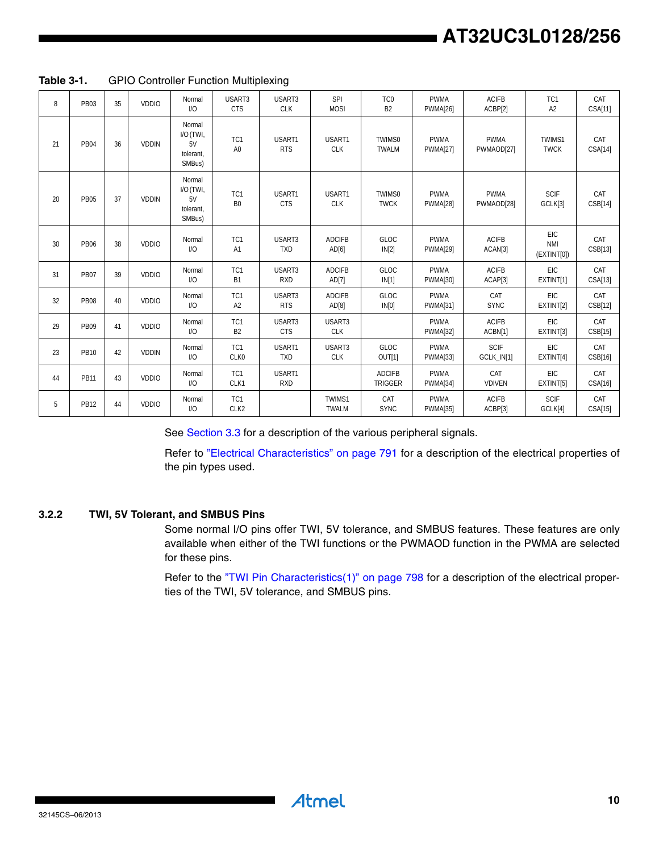| 8  | <b>PB03</b> | 35 | <b>VDDIO</b> | Normal<br>1/O                                    | USART3<br><b>CTS</b>    | USART3<br><b>CLK</b> | SPI<br><b>MOSI</b>     | TC <sub>0</sub><br>B <sub>2</sub> | <b>PWMA</b><br><b>PWMA[26]</b> | <b>ACIFB</b><br>ACBP[2]   | TC <sub>1</sub><br>A2           | CAT<br>CSA[11] |
|----|-------------|----|--------------|--------------------------------------------------|-------------------------|----------------------|------------------------|-----------------------------------|--------------------------------|---------------------------|---------------------------------|----------------|
| 21 | <b>PB04</b> | 36 | <b>VDDIN</b> | Normal<br>I/O (TWI,<br>5V<br>tolerant.<br>SMBus) | TC1<br>A <sub>0</sub>   | USART1<br><b>RTS</b> | USART1<br><b>CLK</b>   | TWIMS0<br><b>TWALM</b>            | <b>PWMA</b><br><b>PWMA[27]</b> | <b>PWMA</b><br>PWMAOD[27] | TWIMS1<br><b>TWCK</b>           | CAT<br>CSA[14] |
| 20 | <b>PB05</b> | 37 | <b>VDDIN</b> | Normal<br>I/O (TWI,<br>5V<br>tolerant.<br>SMBus) | TC1<br>B <sub>0</sub>   | USART1<br><b>CTS</b> | USART1<br><b>CLK</b>   | TWIMS0<br><b>TWCK</b>             | <b>PWMA</b><br><b>PWMA[28]</b> | <b>PWMA</b><br>PWMAOD[28] | <b>SCIF</b><br>GCLK[3]          | CAT<br>CSB[14] |
| 30 | <b>PB06</b> | 38 | <b>VDDIO</b> | Normal<br>1/O                                    | TC1<br>A1               | USART3<br><b>TXD</b> | <b>ADCIFB</b><br>AD[6] | <b>GLOC</b><br>IN[2]              | <b>PWMA</b><br><b>PWMA[29]</b> | <b>ACIFB</b><br>ACAN[3]   | EIC<br><b>NMI</b><br>(EXINT[0]) | CAT<br>CSB[13] |
| 31 | <b>PB07</b> | 39 | <b>VDDIO</b> | Normal<br>1/O                                    | TC1<br>B <sub>1</sub>   | USART3<br><b>RXD</b> | <b>ADCIFB</b><br>AD[7] | GLOC<br>IN[1]                     | <b>PWMA</b><br><b>PWMA[30]</b> | <b>ACIFB</b><br>ACAP[3]   | <b>EIC</b><br>EXTINT[1]         | CAT<br>CSA[13] |
| 32 | <b>PB08</b> | 40 | <b>VDDIO</b> | Normal<br>1/O                                    | TC1<br>A2               | USART3<br><b>RTS</b> | <b>ADCIFB</b><br>AD[8] | GLOC<br>IN[0]                     | <b>PWMA</b><br><b>PWMA[31]</b> | CAT<br><b>SYNC</b>        | <b>EIC</b><br>EXTINT[2]         | CAT<br>CSB[12] |
| 29 | <b>PB09</b> | 41 | <b>VDDIO</b> | Normal<br>1/O                                    | TC1<br>B <sub>2</sub>   | USART3<br><b>CTS</b> | USART3<br><b>CLK</b>   |                                   | <b>PWMA</b><br><b>PWMA[32]</b> | <b>ACIFB</b><br>ACBN[1]   | <b>EIC</b><br>EXTINT[3]         | CAT<br>CSB[15] |
| 23 | PB10        | 42 | <b>VDDIN</b> | Normal<br>1/O                                    | TC1<br>CLK0             | USART1<br><b>TXD</b> | USART3<br><b>CLK</b>   | GLOC.<br>OUT[1]                   | <b>PWMA</b><br><b>PWMA[33]</b> | <b>SCIF</b><br>GCLK_IN[1] | <b>FIC</b><br>EXTINT[4]         | CAT<br>CSB[16] |
| 44 | <b>PB11</b> | 43 | <b>VDDIO</b> | Normal<br>1/0                                    | TC1<br>CLK1             | USART1<br><b>RXD</b> |                        | <b>ADCIFB</b><br><b>TRIGGER</b>   | <b>PWMA</b><br>PWMA[34]        | CAT<br><b>VDIVEN</b>      | <b>EIC</b><br>EXTINT[5]         | CAT<br>CSA[16] |
| 5  | <b>PB12</b> | 44 | <b>VDDIO</b> | Normal<br>1/0                                    | TC1<br>CLK <sub>2</sub> |                      | TWIMS1<br><b>TWALM</b> | CAT<br><b>SYNC</b>                | <b>PWMA</b><br><b>PWMA[35]</b> | <b>ACIFB</b><br>ACBP[3]   | <b>SCIF</b><br>GCLK[4]          | CAT<br>CSA[15] |

**Table 3-1.** GPIO Controller Function Multiplexing

See [Section 3.3](#page-12-0) for a description of the various peripheral signals.

Refer to "Electrical Characteristics" on page 791 for a description of the electrical properties of the pin types used.

# **3.2.2 TWI, 5V Tolerant, and SMBUS Pins**

Some normal I/O pins offer TWI, 5V tolerance, and SMBUS features. These features are only available when either of the TWI functions or the PWMAOD function in the PWMA are selected for these pins.

Refer to the "TWI Pin Characteristics(1)" on page 798 for a description of the electrical properties of the TWI, 5V tolerance, and SMBUS pins.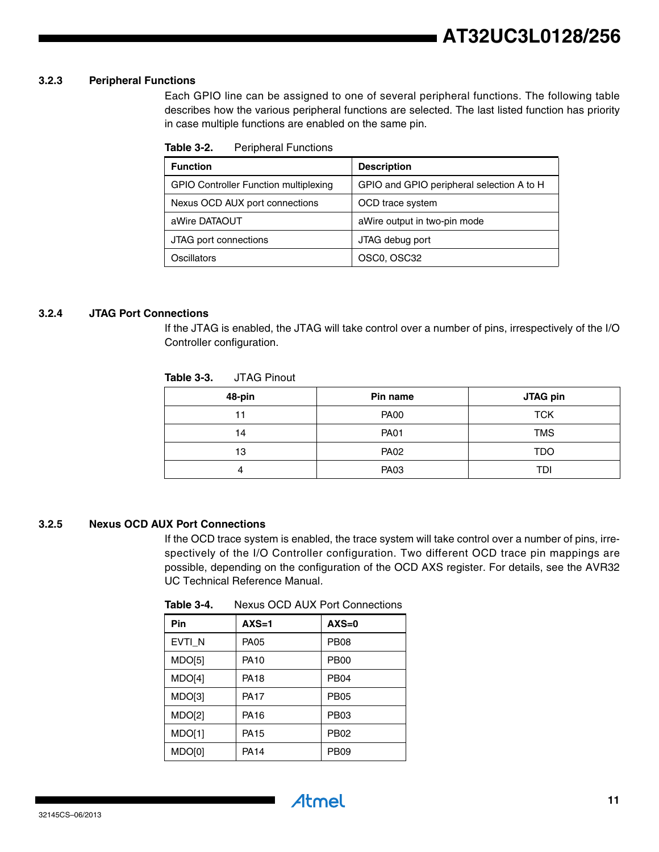#### **3.2.3 Peripheral Functions**

Each GPIO line can be assigned to one of several peripheral functions. The following table describes how the various peripheral functions are selected. The last listed function has priority in case multiple functions are enabled on the same pin.

**Table 3-2.** Peripheral Functions

| <b>Function</b>                              | <b>Description</b>                        |
|----------------------------------------------|-------------------------------------------|
| <b>GPIO Controller Function multiplexing</b> | GPIO and GPIO peripheral selection A to H |
| Nexus OCD AUX port connections               | OCD trace system                          |
| aWire DATAOUT                                | aWire output in two-pin mode              |
| JTAG port connections                        | JTAG debug port                           |
| Oscillators                                  | OSC0, OSC32                               |

#### <span id="page-10-0"></span>**3.2.4 JTAG Port Connections**

If the JTAG is enabled, the JTAG will take control over a number of pins, irrespectively of the I/O Controller configuration.

| .uwiv v-v.<br>0.179111001 |             |                 |  |  |  |  |
|---------------------------|-------------|-----------------|--|--|--|--|
| 48-pin                    | Pin name    | <b>JTAG pin</b> |  |  |  |  |
| 11                        | <b>PA00</b> | <b>TCK</b>      |  |  |  |  |
| 14                        | <b>PA01</b> | <b>TMS</b>      |  |  |  |  |
| 13                        | <b>PA02</b> | <b>TDO</b>      |  |  |  |  |
|                           | <b>PA03</b> | TDI             |  |  |  |  |

#### **Table 3-3.** JTAG Pinout

#### **3.2.5 Nexus OCD AUX Port Connections**

If the OCD trace system is enabled, the trace system will take control over a number of pins, irrespectively of the I/O Controller configuration. Two different OCD trace pin mappings are possible, depending on the configuration of the OCD AXS register. For details, see the AVR32 UC Technical Reference Manual*.*

| Pin    | $AXS=1$     | $AXS=0$          |
|--------|-------------|------------------|
| EVTI_N | <b>PA05</b> | <b>PB08</b>      |
| MDO[5] | PA10        | PB <sub>00</sub> |
| MDO[4] | PA18        | <b>PB04</b>      |
| MDO[3] | PA17        | <b>PB05</b>      |
| MDO[2] | PA16        | <b>PB03</b>      |
| MDO[1] | PA15        | <b>PB02</b>      |
| MDO[0] | <b>PA14</b> | <b>PB09</b>      |

Atmel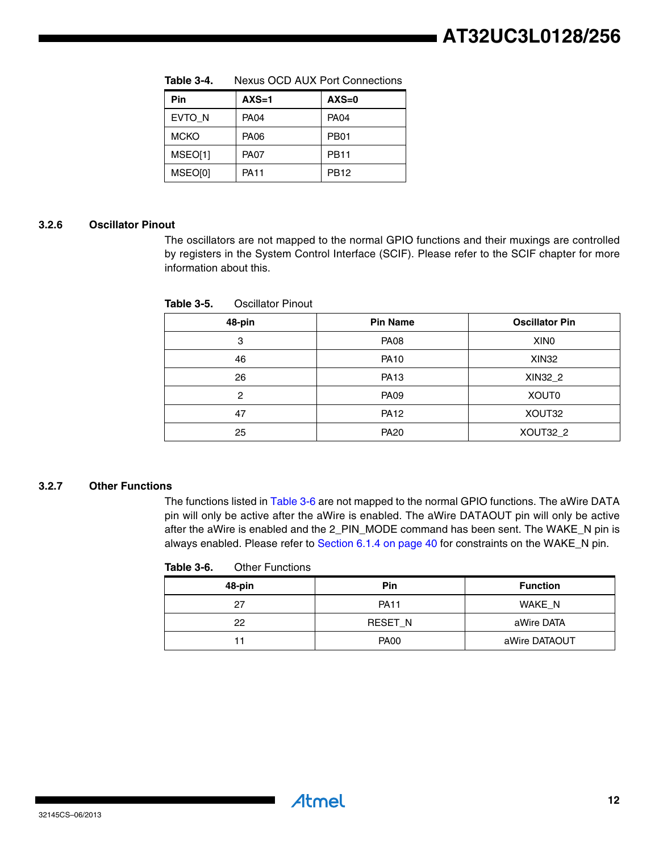| Pin         | $AXS=1$     | $AXS=0$          |
|-------------|-------------|------------------|
| EVTO N      | <b>PA04</b> | <b>PA04</b>      |
| <b>MCKO</b> | <b>PA06</b> | PB <sub>01</sub> |
| MSEO[1]     | <b>PA07</b> | <b>PB11</b>      |
| MSEO[0]     | <b>PA11</b> | <b>PB12</b>      |

**Table 3-4.** Nexus OCD AUX Port Connections

#### **3.2.6 Oscillator Pinout**

The oscillators are not mapped to the normal GPIO functions and their muxings are controlled by registers in the System Control Interface (SCIF). Please refer to the SCIF chapter for more information about this.

| 48-pin | <b>Pin Name</b> | <b>Oscillator Pin</b> |
|--------|-----------------|-----------------------|
| 3      | <b>PA08</b>     | XIN <sub>0</sub>      |
| 46     | <b>PA10</b>     | XIN32                 |
| 26     | <b>PA13</b>     | XIN32_2               |
| 2      | <b>PA09</b>     | <b>XOUT0</b>          |
| 47     | <b>PA12</b>     | XOUT32                |
| 25     | <b>PA20</b>     | XOUT32_2              |

**Table 3-5.** Oscillator Pinout

#### **3.2.7 Other Functions**

The functions listed in [Table 3-6](#page-11-0) are not mapped to the normal GPIO functions. The aWire DATA pin will only be active after the aWire is enabled. The aWire DATAOUT pin will only be active after the aWire is enabled and the 2\_PIN\_MODE command has been sent. The WAKE\_N pin is always enabled. Please refer to Section 6.1.4 on page 40 for constraints on the WAKE\_N pin.

<span id="page-11-0"></span>

| Table 3-6. | <b>Other Functions</b> |
|------------|------------------------|
|            |                        |

| 48-pin | <b>Pin</b>     | <b>Function</b> |
|--------|----------------|-----------------|
| 27     | <b>PA11</b>    | WAKE N          |
| 22     | <b>RESET N</b> | aWire DATA      |
|        | <b>PA00</b>    | aWire DATAOUT   |

**Atmel**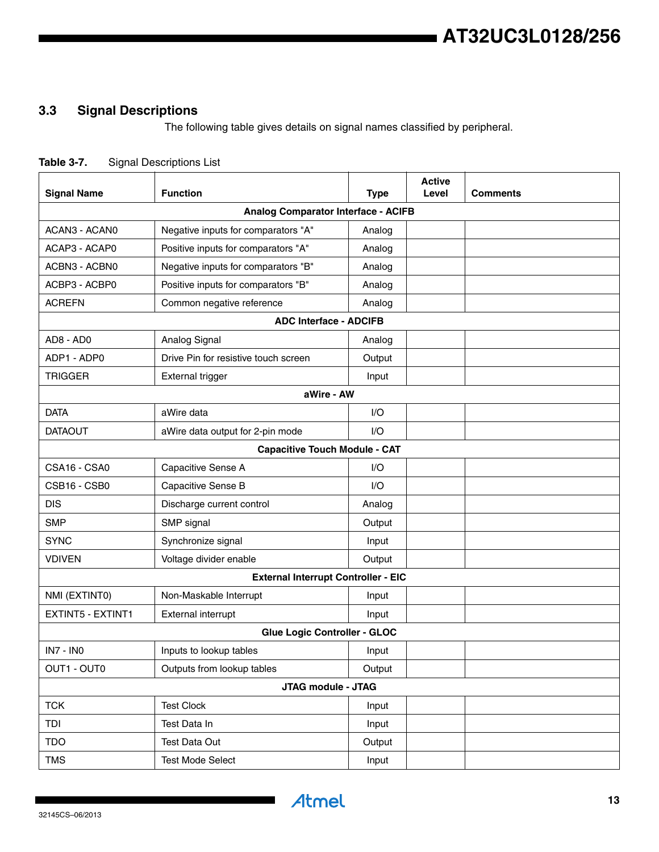# <span id="page-12-0"></span>**3.3 Signal Descriptions**

The following table gives details on signal names classified by peripheral.

|  | Table 3-7. | <b>Signal Descriptions List</b> |
|--|------------|---------------------------------|
|--|------------|---------------------------------|

| <b>Signal Name</b>                         | <b>Function</b>                            | <b>Type</b> | <b>Active</b><br>Level | <b>Comments</b> |
|--------------------------------------------|--------------------------------------------|-------------|------------------------|-----------------|
| <b>Analog Comparator Interface - ACIFB</b> |                                            |             |                        |                 |
| ACAN3 - ACAN0                              | Negative inputs for comparators "A"        | Analog      |                        |                 |
| ACAP3 - ACAP0                              | Positive inputs for comparators "A"        | Analog      |                        |                 |
| ACBN3 - ACBN0                              | Negative inputs for comparators "B"        | Analog      |                        |                 |
| ACBP3 - ACBP0                              | Positive inputs for comparators "B"        | Analog      |                        |                 |
| <b>ACREFN</b>                              | Common negative reference                  | Analog      |                        |                 |
|                                            | <b>ADC Interface - ADCIFB</b>              |             |                        |                 |
| AD8 - AD0                                  | Analog Signal                              | Analog      |                        |                 |
| ADP1 - ADP0                                | Drive Pin for resistive touch screen       | Output      |                        |                 |
| <b>TRIGGER</b>                             | <b>External trigger</b>                    | Input       |                        |                 |
|                                            | aWire - AW                                 |             |                        |                 |
| <b>DATA</b>                                | aWire data                                 | 1/O         |                        |                 |
| <b>DATAOUT</b>                             | aWire data output for 2-pin mode           | I/O         |                        |                 |
|                                            | <b>Capacitive Touch Module - CAT</b>       |             |                        |                 |
| CSA16 - CSA0                               | Capacitive Sense A                         | I/O         |                        |                 |
| CSB16 - CSB0                               | Capacitive Sense B                         | 1/O         |                        |                 |
| <b>DIS</b>                                 | Discharge current control                  | Analog      |                        |                 |
| <b>SMP</b>                                 | SMP signal                                 | Output      |                        |                 |
| <b>SYNC</b>                                | Synchronize signal                         | Input       |                        |                 |
| <b>VDIVEN</b>                              | Voltage divider enable                     | Output      |                        |                 |
|                                            | <b>External Interrupt Controller - EIC</b> |             |                        |                 |
| NMI (EXTINTO)                              | Non-Maskable Interrupt                     | Input       |                        |                 |
| <b>EXTINT5 - EXTINT1</b>                   | External interrupt                         | Input       |                        |                 |
|                                            | Glue Logic Controller - GLOC               |             |                        |                 |
| <b>IN7 - INO</b>                           | Inputs to lookup tables                    | Input       |                        |                 |
| OUT1 - OUT0                                | Outputs from lookup tables                 | Output      |                        |                 |
|                                            | JTAG module - JTAG                         |             |                        |                 |
| <b>TCK</b>                                 | <b>Test Clock</b>                          | Input       |                        |                 |
| TDI                                        | Test Data In                               | Input       |                        |                 |
| <b>TDO</b>                                 | Test Data Out                              | Output      |                        |                 |
| <b>TMS</b>                                 | <b>Test Mode Select</b>                    | Input       |                        |                 |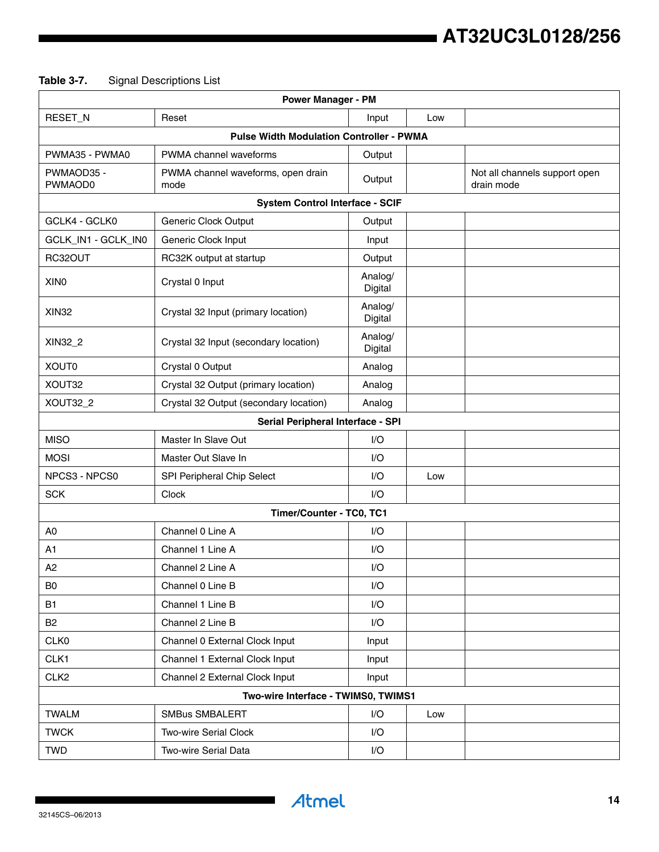# **Table 3-7.** Signal Descriptions List

| <b>Power Manager - PM</b>                       |                                            |                    |     |                                             |  |
|-------------------------------------------------|--------------------------------------------|--------------------|-----|---------------------------------------------|--|
| RESET_N                                         | Reset                                      | Input              | Low |                                             |  |
| <b>Pulse Width Modulation Controller - PWMA</b> |                                            |                    |     |                                             |  |
| PWMA35 - PWMA0                                  | PWMA channel waveforms                     | Output             |     |                                             |  |
| PWMAOD35 -<br>PWMAOD0                           | PWMA channel waveforms, open drain<br>mode | Output             |     | Not all channels support open<br>drain mode |  |
|                                                 | <b>System Control Interface - SCIF</b>     |                    |     |                                             |  |
| GCLK4 - GCLK0                                   | Generic Clock Output                       | Output             |     |                                             |  |
| GCLK_IN1 - GCLK_IN0                             | Generic Clock Input                        | Input              |     |                                             |  |
| RC32OUT                                         | RC32K output at startup                    | Output             |     |                                             |  |
| XIN <sub>0</sub>                                | Crystal 0 Input                            | Analog/<br>Digital |     |                                             |  |
| <b>XIN32</b>                                    | Crystal 32 Input (primary location)        | Analog/<br>Digital |     |                                             |  |
| XIN32_2                                         | Crystal 32 Input (secondary location)      | Analog/<br>Digital |     |                                             |  |
| XOUT0                                           | Crystal 0 Output                           | Analog             |     |                                             |  |
| XOUT32                                          | Crystal 32 Output (primary location)       | Analog             |     |                                             |  |
| XOUT32_2                                        | Crystal 32 Output (secondary location)     | Analog             |     |                                             |  |
|                                                 | Serial Peripheral Interface - SPI          |                    |     |                                             |  |
| <b>MISO</b>                                     | Master In Slave Out                        | I/O                |     |                                             |  |
| <b>MOSI</b>                                     | Master Out Slave In                        | 1/O                |     |                                             |  |
| NPCS3 - NPCS0                                   | SPI Peripheral Chip Select                 | I/O                | Low |                                             |  |
| <b>SCK</b>                                      | Clock                                      | I/O                |     |                                             |  |
|                                                 | Timer/Counter - TC0, TC1                   |                    |     |                                             |  |
| A0                                              | Channel 0 Line A                           | I/O                |     |                                             |  |
| A <sub>1</sub>                                  | Channel 1 Line A                           | 1/O                |     |                                             |  |
| A2                                              | Channel 2 Line A                           | I/O                |     |                                             |  |
| B <sub>0</sub>                                  | Channel 0 Line B                           | I/O                |     |                                             |  |
| <b>B1</b>                                       | Channel 1 Line B                           | I/O                |     |                                             |  |
| <b>B2</b>                                       | Channel 2 Line B                           | I/O                |     |                                             |  |
| CLK0                                            | Channel 0 External Clock Input             | Input              |     |                                             |  |
| CLK1                                            | Channel 1 External Clock Input             | Input              |     |                                             |  |
| CLK <sub>2</sub>                                | Channel 2 External Clock Input             | Input              |     |                                             |  |
|                                                 | Two-wire Interface - TWIMS0, TWIMS1        |                    |     |                                             |  |
| <b>TWALM</b>                                    | <b>SMBus SMBALERT</b>                      | I/O                | Low |                                             |  |
| <b>TWCK</b>                                     | Two-wire Serial Clock                      | I/O                |     |                                             |  |
| <b>TWD</b>                                      | Two-wire Serial Data                       | I/O                |     |                                             |  |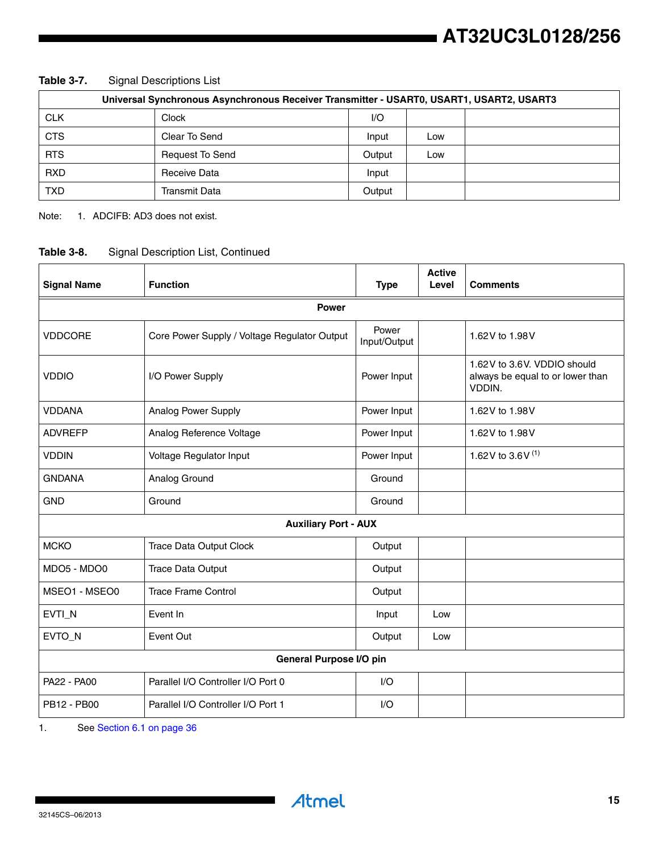| Universal Synchronous Asynchronous Receiver Transmitter - USART0, USART1, USART2, USART3 |                        |        |     |  |
|------------------------------------------------------------------------------------------|------------------------|--------|-----|--|
| <b>CLK</b>                                                                               | Clock                  | I/O    |     |  |
| <b>CTS</b>                                                                               | Clear To Send          | Input  | Low |  |
| <b>RTS</b>                                                                               | <b>Request To Send</b> | Output | Low |  |
| <b>RXD</b>                                                                               | Receive Data           | Input  |     |  |
| TXD                                                                                      | <b>Transmit Data</b>   | Output |     |  |

**Table 3-7.** Signal Descriptions List

Note: 1. ADCIFB: AD3 does not exist.

### **Table 3-8.** Signal Description List, Continued

| <b>Signal Name</b> | <b>Function</b>                              | <b>Type</b>           | <b>Active</b><br>Level | <b>Comments</b>                                                           |  |  |
|--------------------|----------------------------------------------|-----------------------|------------------------|---------------------------------------------------------------------------|--|--|
|                    | <b>Power</b>                                 |                       |                        |                                                                           |  |  |
| <b>VDDCORE</b>     | Core Power Supply / Voltage Regulator Output | Power<br>Input/Output |                        | 1.62V to 1.98V                                                            |  |  |
| <b>VDDIO</b>       | I/O Power Supply                             | Power Input           |                        | 1.62V to 3.6V. VDDIO should<br>always be equal to or lower than<br>VDDIN. |  |  |
| <b>VDDANA</b>      | Analog Power Supply                          | Power Input           |                        | 1.62V to 1.98V                                                            |  |  |
| <b>ADVREFP</b>     | Analog Reference Voltage                     | Power Input           |                        | 1.62V to 1.98V                                                            |  |  |
| <b>VDDIN</b>       | Voltage Regulator Input                      | Power Input           |                        | 1.62V to 3.6V $^{(1)}$                                                    |  |  |
| <b>GNDANA</b>      | Analog Ground                                | Ground                |                        |                                                                           |  |  |
| <b>GND</b>         | Ground                                       | Ground                |                        |                                                                           |  |  |
|                    | <b>Auxiliary Port - AUX</b>                  |                       |                        |                                                                           |  |  |
| <b>MCKO</b>        | <b>Trace Data Output Clock</b>               | Output                |                        |                                                                           |  |  |
| MDO5 - MDO0        | <b>Trace Data Output</b>                     | Output                |                        |                                                                           |  |  |
| MSEO1 - MSEO0      | <b>Trace Frame Control</b>                   | Output                |                        |                                                                           |  |  |
| EVTI_N             | Event In                                     | Input                 | Low                    |                                                                           |  |  |
| EVTO_N             | Event Out                                    | Output                | Low                    |                                                                           |  |  |
|                    | General Purpose I/O pin                      |                       |                        |                                                                           |  |  |
| PA22 - PA00        | Parallel I/O Controller I/O Port 0           | I/O                   |                        |                                                                           |  |  |
| PB12 - PB00        | Parallel I/O Controller I/O Port 1           | I/O                   |                        |                                                                           |  |  |

1. See Section 6.1 on page 36

**Atmel** 

 $\overline{\phantom{a}}$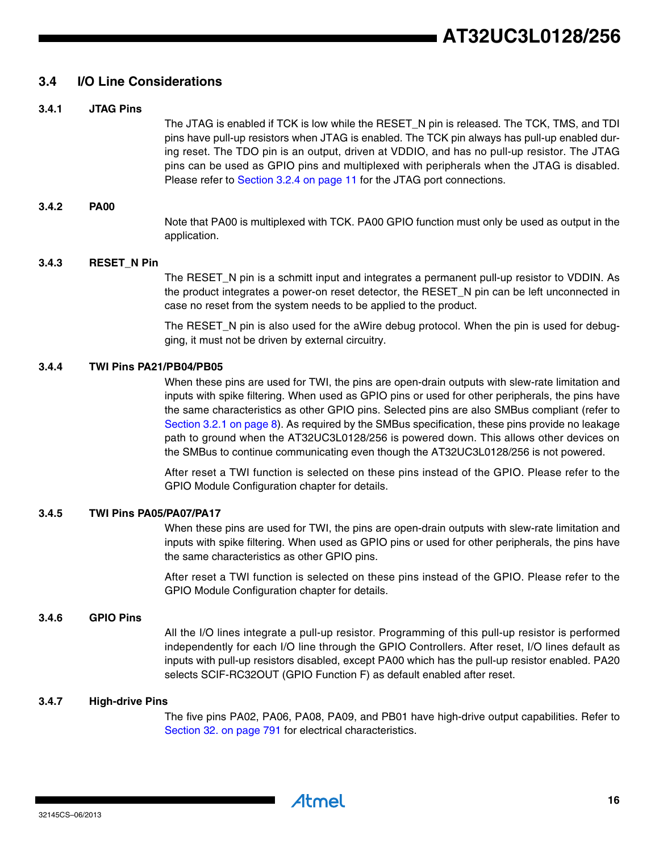### <span id="page-15-0"></span>**3.4 I/O Line Considerations**

#### **3.4.1 JTAG Pins**

The JTAG is enabled if TCK is low while the RESET\_N pin is released. The TCK, TMS, and TDI pins have pull-up resistors when JTAG is enabled. The TCK pin always has pull-up enabled during reset. The TDO pin is an output, driven at VDDIO, and has no pull-up resistor. The JTAG pins can be used as GPIO pins and multiplexed with peripherals when the JTAG is disabled. Please refer to [Section 3.2.4 on page 11](#page-10-0) for the JTAG port connections.

#### **3.4.2 PA00**

Note that PA00 is multiplexed with TCK. PA00 GPIO function must only be used as output in the application.

#### **3.4.3 RESET\_N Pin**

The RESET N pin is a schmitt input and integrates a permanent pull-up resistor to VDDIN. As the product integrates a power-on reset detector, the RESET\_N pin can be left unconnected in case no reset from the system needs to be applied to the product.

The RESET N pin is also used for the aWire debug protocol. When the pin is used for debugging, it must not be driven by external circuitry.

#### **3.4.4 TWI Pins PA21/PB04/PB05**

When these pins are used for TWI, the pins are open-drain outputs with slew-rate limitation and inputs with spike filtering. When used as GPIO pins or used for other peripherals, the pins have the same characteristics as other GPIO pins. Selected pins are also SMBus compliant (refer to [Section 3.2.1 on page 8\)](#page-7-0). As required by the SMBus specification, these pins provide no leakage path to ground when the AT32UC3L0128/256 is powered down. This allows other devices on the SMBus to continue communicating even though the AT32UC3L0128/256 is not powered.

After reset a TWI function is selected on these pins instead of the GPIO. Please refer to the GPIO Module Configuration chapter for details.

#### **3.4.5 TWI Pins PA05/PA07/PA17**

When these pins are used for TWI, the pins are open-drain outputs with slew-rate limitation and inputs with spike filtering. When used as GPIO pins or used for other peripherals, the pins have the same characteristics as other GPIO pins.

After reset a TWI function is selected on these pins instead of the GPIO. Please refer to the GPIO Module Configuration chapter for details.

#### **3.4.6 GPIO Pins**

All the I/O lines integrate a pull-up resistor. Programming of this pull-up resistor is performed independently for each I/O line through the GPIO Controllers. After reset, I/O lines default as inputs with pull-up resistors disabled, except PA00 which has the pull-up resistor enabled. PA20 selects SCIF-RC32OUT (GPIO Function F) as default enabled after reset.

#### **3.4.7 High-drive Pins**

The five pins PA02, PA06, PA08, PA09, and PB01 have high-drive output capabilities. Refer to Section 32. on page 791 for electrical characteristics.

Atmel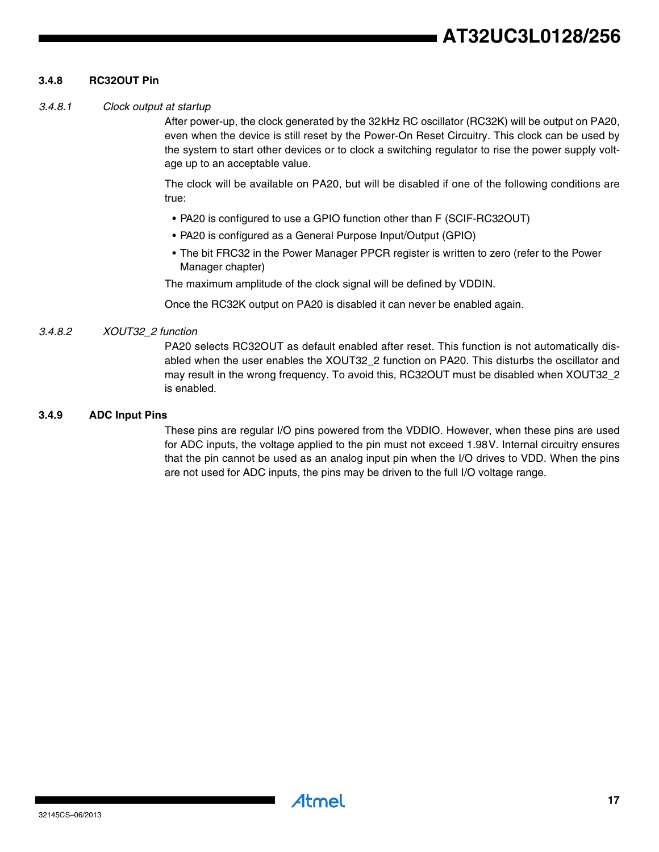# **AT32UC3L0128/256**

#### **3.4.8 RC32OUT Pin**

#### *3.4.8.1 Clock output at startup*

After power-up, the clock generated by the 32kHz RC oscillator (RC32K) will be output on PA20, even when the device is still reset by the Power-On Reset Circuitry. This clock can be used by the system to start other devices or to clock a switching regulator to rise the power supply voltage up to an acceptable value.

The clock will be available on PA20, but will be disabled if one of the following conditions are true:

- PA20 is configured to use a GPIO function other than F (SCIF-RC32OUT)
- PA20 is configured as a General Purpose Input/Output (GPIO)
- The bit FRC32 in the Power Manager PPCR register is written to zero (refer to the Power Manager chapter)

The maximum amplitude of the clock signal will be defined by VDDIN.

Once the RC32K output on PA20 is disabled it can never be enabled again.

#### *3.4.8.2 XOUT32\_2 function*

PA20 selects RC32OUT as default enabled after reset. This function is not automatically disabled when the user enables the XOUT32\_2 function on PA20. This disturbs the oscillator and may result in the wrong frequency. To avoid this, RC32OUT must be disabled when XOUT32\_2 is enabled.

#### **3.4.9 ADC Input Pins**

These pins are regular I/O pins powered from the VDDIO. However, when these pins are used for ADC inputs, the voltage applied to the pin must not exceed 1.98V. Internal circuitry ensures that the pin cannot be used as an analog input pin when the I/O drives to VDD. When the pins are not used for ADC inputs, the pins may be driven to the full I/O voltage range.

Atmel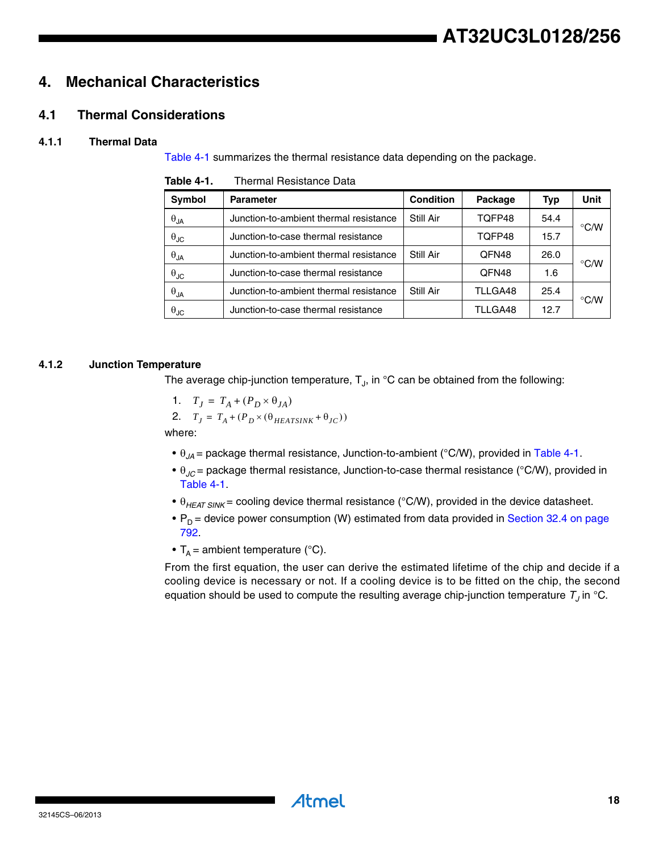# <span id="page-17-1"></span>**4. Mechanical Characteristics**

# <span id="page-17-2"></span>**4.1 Thermal Considerations**

# **4.1.1 Thermal Data**

[Table 4-1](#page-17-0) summarizes the thermal resistance data depending on the package.

| <b>Symbol</b>          | <b>Parameter</b>                       | <b>Condition</b> | Package | Typ  | Unit          |
|------------------------|----------------------------------------|------------------|---------|------|---------------|
| $\theta_{\mathsf{JA}}$ | Junction-to-ambient thermal resistance | Still Air        | TOFP48  | 54.4 |               |
| $\theta_{\text{JC}}$   | Junction-to-case thermal resistance    |                  | TOFP48  | 15.7 | $\degree$ C/W |
| $\theta_{\mathsf{JA}}$ | Junction-to-ambient thermal resistance | Still Air        | QFN48   | 26.0 |               |
| $\theta_{\text{JC}}$   | Junction-to-case thermal resistance    |                  | QFN48   | 1.6  | $\degree$ C/W |
| $\theta_{\mathsf{JA}}$ | Junction-to-ambient thermal resistance | Still Air        | TLLGA48 | 25.4 |               |
| $\theta_{\text{JC}}$   | Junction-to-case thermal resistance    |                  | TLLGA48 | 12.7 | $\degree$ C/W |

<span id="page-17-0"></span>**Table 4-1.** Thermal Resistance Data

# **4.1.2 Junction Temperature**

The average chip-junction temperature,  $T_{J}$ , in  $^{\circ}$ C can be obtained from the following:

$$
1. \quad T_J = T_A + (P_D \times \theta_{JA})
$$

2. 
$$
T_J = T_A + (P_D \times (\theta_{HEATSINK} + \theta_{JC}))
$$

where:

- $\theta_{JA}$  = package thermal resistance, Junction-to-ambient (°C/W), provided in [Table 4-1.](#page-17-0)
- $\theta_{\text{AC}}$  = package thermal resistance, Junction-to-case thermal resistance (°C/W), provided in [Table 4-1.](#page-17-0)
- $\theta_{HEAT \, SIM}$  = cooling device thermal resistance (°C/W), provided in the device datasheet.
- $P_D$  = device power consumption (W) estimated from data provided in Section 32.4 on page 792.
- $T_A$  = ambient temperature (°C).

From the first equation, the user can derive the estimated lifetime of the chip and decide if a cooling device is necessary or not. If a cooling device is to be fitted on the chip, the second equation should be used to compute the resulting average chip-junction temperature  $T<sub>J</sub>$  in °C.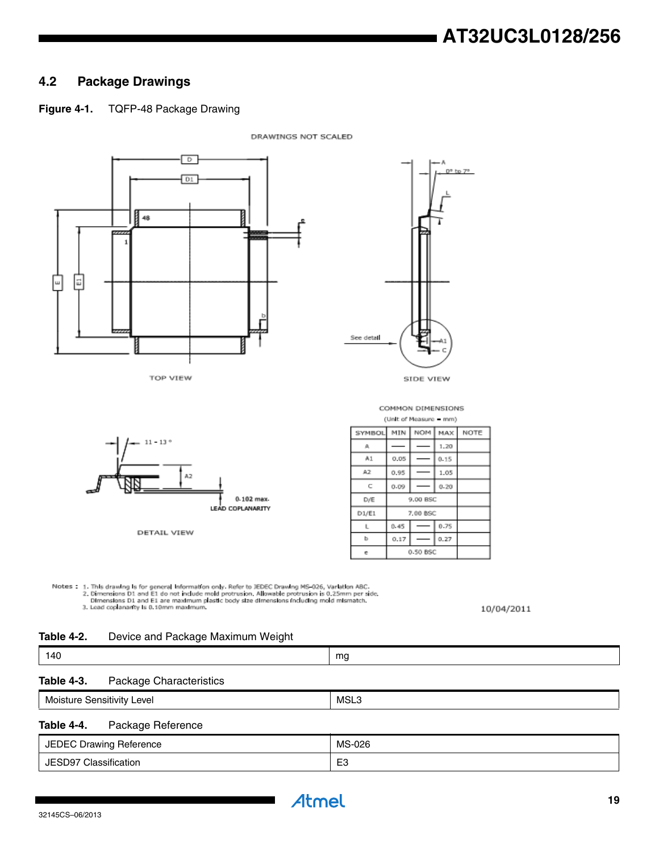# <span id="page-18-0"></span>**4.2 Package Drawings**

# **Figure 4-1.** TQFP-48 Package Drawing



Notes : 1. This drawing is for general information only. Refer to JEDEC Drawing MS-026, Variation ABC.<br>2. Dimensions D1 and E1 do not include mold protrusion. Allowable protrusion is 0.25mm per side.<br>- Dimensions D1 and E1 3. Lead coplananty is 0.10mm maximum.

10/04/2011

#### **Table 4-2.** Device and Package Maximum Weight

| 140 |    |
|-----|----|
| __  | mg |
|     |    |

### **Table 4-3.** Package Characteristics

| . .<br>. .<br>ever<br>Ö<br>isitivity<br>Mois | MS'<br>ור.<br>____ |
|----------------------------------------------|--------------------|
|                                              |                    |

#### **Table 4-4.** Package Reference

| <b>JEDEC Drawing Reference</b> | MS-026               |
|--------------------------------|----------------------|
| JESD97 Classification          | r <sub>o</sub><br>∟u |

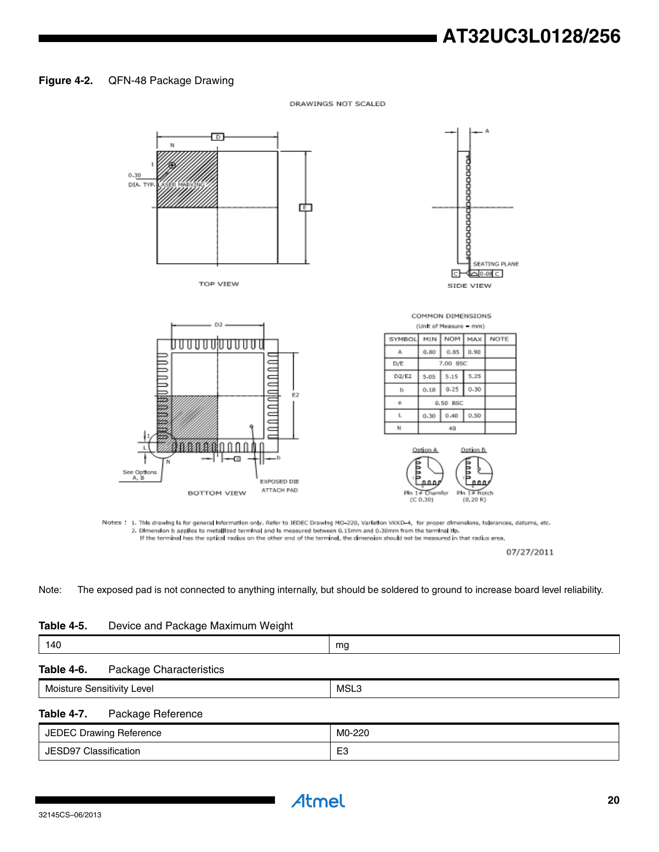# **AT32UC3L0128/256**

#### **Figure 4-2.** QFN-48 Package Drawing

 $\overline{D}$ N  $0.30$ DIA. TYP 面 SEATING PLANE G √⊡⊙⊛⊂⊺ TOP VIEW SIDE VIEW COMMON DIMENSIONS D<sub>2</sub> (Unit of Measure - mm) **SYMBOL** MIN NOM MAX NOTE ם טרטרט טוטרט גרווירטרט A  $0.80$  $0.85$  $0.90$ hnnn  $D/E$ 7.00 BSC  $D2/E2$ 5.25 5.05 5.15  $0.18$  $0.25$  $0.30$  $\mathbf b$ ⋶  $\alpha$ 0.50 BSC  $\equiv$ Ē  $\mathsf{L}$  $0.30$  $0.40$  $0.50$ c N  $48\,$ 8A n n Option A Option B. -60 See Options<br>A, B **EXPOSED DIE** ATTACH PAD **BOTTOM VIEW** # Chamfer Pin 14 Notch PIn  $(C 0.30)$  $(0.20 R)$ 

DRAWINGS NOT SCALED

Notes: 1. This drawing is for general information only. Refer to JEDEC Drawing MO-220, Variation VKKD-4, for proper dimensions, tolerances, datums, etc. 2. Dimension b applies to metallized terminal and is measured between 0.15mm and 0.30mm from the terminal tip<br>If the terminal has the optical radius on the other end of the terminal, the dimension should not be measured in

07/27/2011

Note: The exposed pad is not connected to anything internally, but should be soldered to ground to increase board level reliability.

| <b>Table 4-5.</b> | Device and Package Maximum Weight |  |  |  |
|-------------------|-----------------------------------|--|--|--|
|-------------------|-----------------------------------|--|--|--|

| 140        |                                | mg |  |
|------------|--------------------------------|----|--|
| Table 4-6. | <b>Package Characteristics</b> |    |  |

Moisture Sensitivity Level **MSL3** 

#### **Table 4-7.** Package Reference

| JEDEC Drawing Reference | M0-220             |
|-------------------------|--------------------|
| JESD97 Classification   | $\Gamma$<br>-<br>⊷ |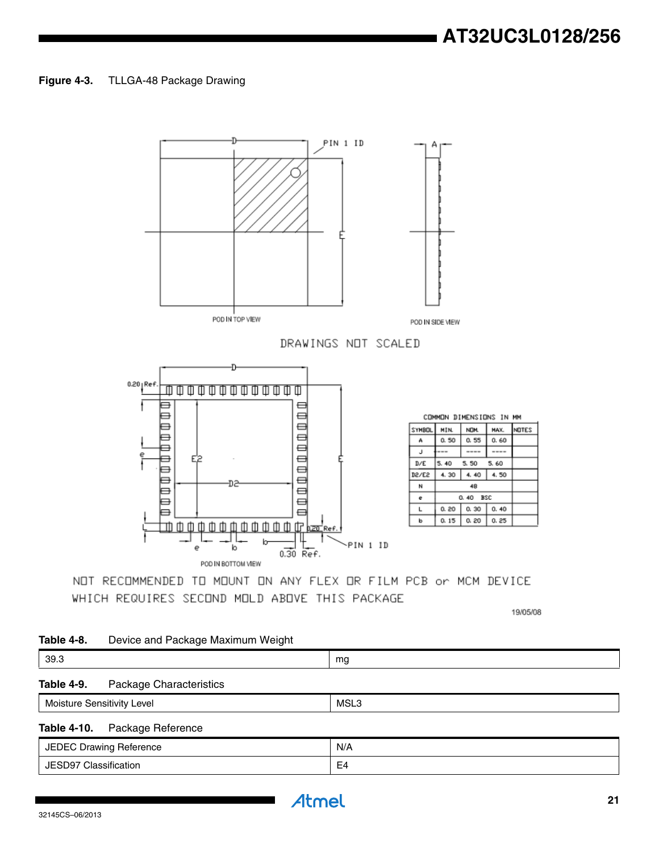#### **Figure 4-3.** TLLGA-48 Package Drawing



NOT RECOMMENDED TO MOUNT ON ANY FLEX OR FILM PCB or MCM DEVICE WHICH REQUIRES SECOND MOLD ABOVE THIS PACKAGE

19/05/08

NOTES

#### **Table 4-8.** Device and Package Maximum Weight

| 39.3       |                         | mg |  |
|------------|-------------------------|----|--|
| Table 4-9. | Package Characteristics |    |  |

# Moisture Sensitivity Level **MSL3 Table 4-10.** Package Reference JEDEC Drawing Reference N/A JESD97 Classification and the state of the state of the E4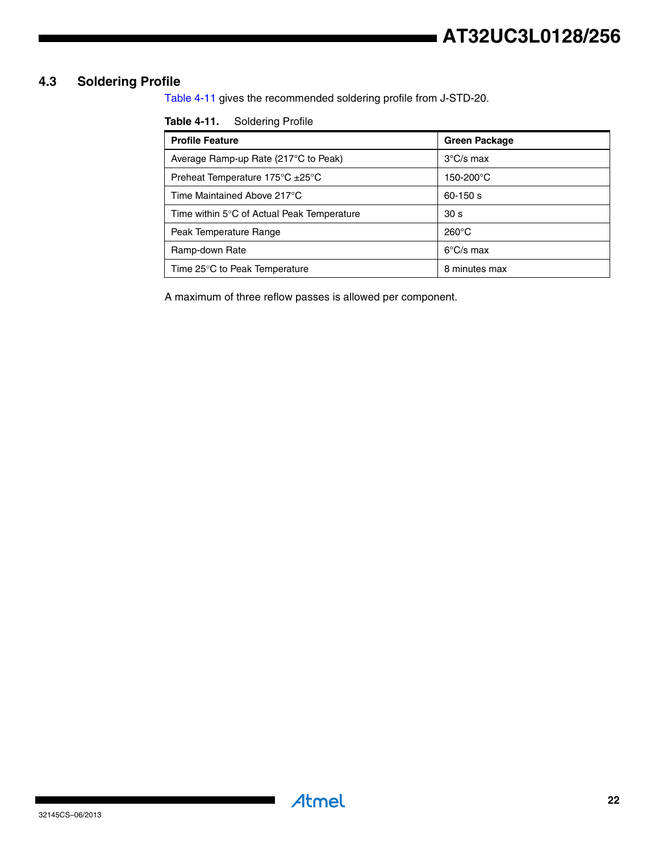# **AT32UC3L0128/256**

# <span id="page-21-1"></span>**4.3 Soldering Profile**

[Table 4-11](#page-21-0) gives the recommended soldering profile from J-STD-20.

<span id="page-21-0"></span>

| <b>Table 4-11.</b> | <b>Soldering Profile</b> |
|--------------------|--------------------------|
|--------------------|--------------------------|

| <b>Profile Feature</b>                                 | <b>Green Package</b> |
|--------------------------------------------------------|----------------------|
| Average Ramp-up Rate (217°C to Peak)                   | $3^{\circ}$ C/s max  |
| Preheat Temperature $175^{\circ}$ C $\pm 25^{\circ}$ C | 150-200°C            |
| Time Maintained Above 217°C                            | $60 - 150 s$         |
| Time within 5°C of Actual Peak Temperature             | 30 <sub>s</sub>      |
| Peak Temperature Range                                 | $260^{\circ}$ C      |
| Ramp-down Rate                                         | $6^{\circ}$ C/s max  |
| Time 25°C to Peak Temperature                          | 8 minutes max        |

A maximum of three reflow passes is allowed per component.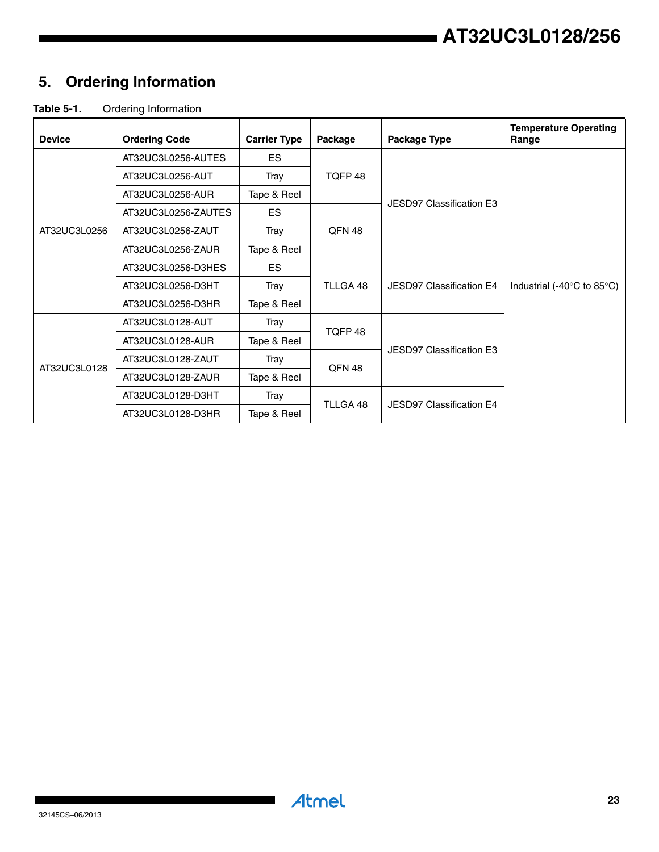# **AT32UC3L0128/256**

# <span id="page-22-0"></span>**5. Ordering Information**

# **Table 5-1.** Ordering Information

| <b>Device</b> | <b>Ordering Code</b> | <b>Carrier Type</b> | Package       | Package Type                    | <b>Temperature Operating</b><br>Range          |  |
|---------------|----------------------|---------------------|---------------|---------------------------------|------------------------------------------------|--|
|               | AT32UC3L0256-AUTES   | ES.                 |               |                                 |                                                |  |
|               | AT32UC3L0256-AUT     | Tray                | TQFP 48       |                                 |                                                |  |
|               | AT32UC3L0256-AUR     | Tape & Reel         |               | JESD97 Classification E3        |                                                |  |
|               | AT32UC3L0256-ZAUTES  | ES.                 |               |                                 |                                                |  |
| AT32UC3L0256  | AT32UC3L0256-ZAUT    | Tray                | QFN 48        |                                 |                                                |  |
|               | AT32UC3L0256-ZAUR    | Tape & Reel         |               |                                 |                                                |  |
|               | AT32UC3L0256-D3HES   | ES.                 |               |                                 | Industrial (-40 $\degree$ C to 85 $\degree$ C) |  |
|               | AT32UC3L0256-D3HT    | Tray                | TLLGA 48      | JESD97 Classification E4        |                                                |  |
|               | AT32UC3L0256-D3HR    | Tape & Reel         |               |                                 |                                                |  |
|               | AT32UC3L0128-AUT     | Tray                | TQFP 48       |                                 |                                                |  |
|               | AT32UC3L0128-AUR     | Tape & Reel         |               | <b>JESD97 Classification E3</b> |                                                |  |
|               | AT32UC3L0128-ZAUT    | Tray                | <b>QFN 48</b> |                                 |                                                |  |
| AT32UC3L0128  | AT32UC3L0128-ZAUR    | Tape & Reel         |               |                                 |                                                |  |
|               | AT32UC3L0128-D3HT    | Tray                |               |                                 |                                                |  |
|               | AT32UC3L0128-D3HR    | Tape & Reel         | TLLGA 48      | JESD97 Classification E4        |                                                |  |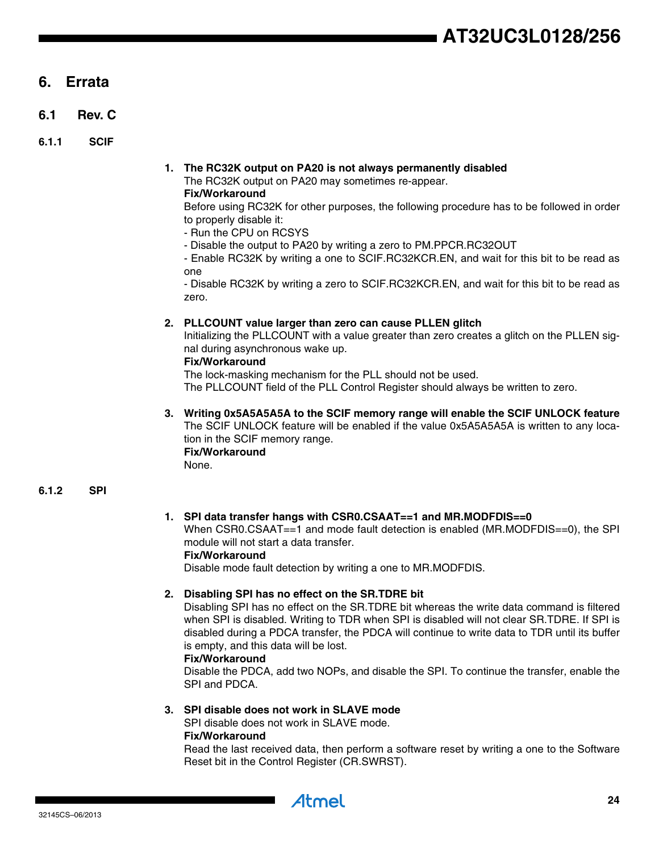# <span id="page-23-0"></span>**6. Errata**

- <span id="page-23-1"></span>**6.1 Rev. C**
- **6.1.1 SCIF**

#### **1. The RC32K output on PA20 is not always permanently disabled** The RC32K output on PA20 may sometimes re-appear.

**Fix/Workaround**

Before using RC32K for other purposes, the following procedure has to be followed in order to properly disable it:

- Run the CPU on RCSYS
- Disable the output to PA20 by writing a zero to PM.PPCR.RC32OUT

- Enable RC32K by writing a one to SCIF.RC32KCR.EN, and wait for this bit to be read as one

- Disable RC32K by writing a zero to SCIF.RC32KCR.EN, and wait for this bit to be read as zero.

#### **2. PLLCOUNT value larger than zero can cause PLLEN glitch**

Initializing the PLLCOUNT with a value greater than zero creates a glitch on the PLLEN signal during asynchronous wake up.

#### **Fix/Workaround**

The lock-masking mechanism for the PLL should not be used.

The PLLCOUNT field of the PLL Control Register should always be written to zero.

**3. Writing 0x5A5A5A5A to the SCIF memory range will enable the SCIF UNLOCK feature** The SCIF UNLOCK feature will be enabled if the value 0x5A5A5A5A is written to any location in the SCIF memory range. **Fix/Workaround**

None.

### **6.1.2 SPI**

### **1. SPI data transfer hangs with CSR0.CSAAT==1 and MR.MODFDIS==0**

When CSR0.CSAAT==1 and mode fault detection is enabled (MR.MODFDIS==0), the SPI module will not start a data transfer.

#### **Fix/Workaround**

Disable mode fault detection by writing a one to MR.MODFDIS.

#### **2. Disabling SPI has no effect on the SR.TDRE bit**

Disabling SPI has no effect on the SR.TDRE bit whereas the write data command is filtered when SPI is disabled. Writing to TDR when SPI is disabled will not clear SR.TDRE. If SPI is disabled during a PDCA transfer, the PDCA will continue to write data to TDR until its buffer is empty, and this data will be lost.

#### **Fix/Workaround**

Disable the PDCA, add two NOPs, and disable the SPI. To continue the transfer, enable the SPI and PDCA.

### **3. SPI disable does not work in SLAVE mode**

SPI disable does not work in SLAVE mode. **Fix/Workaround**

Read the last received data, then perform a software reset by writing a one to the Software Reset bit in the Control Register (CR.SWRST).

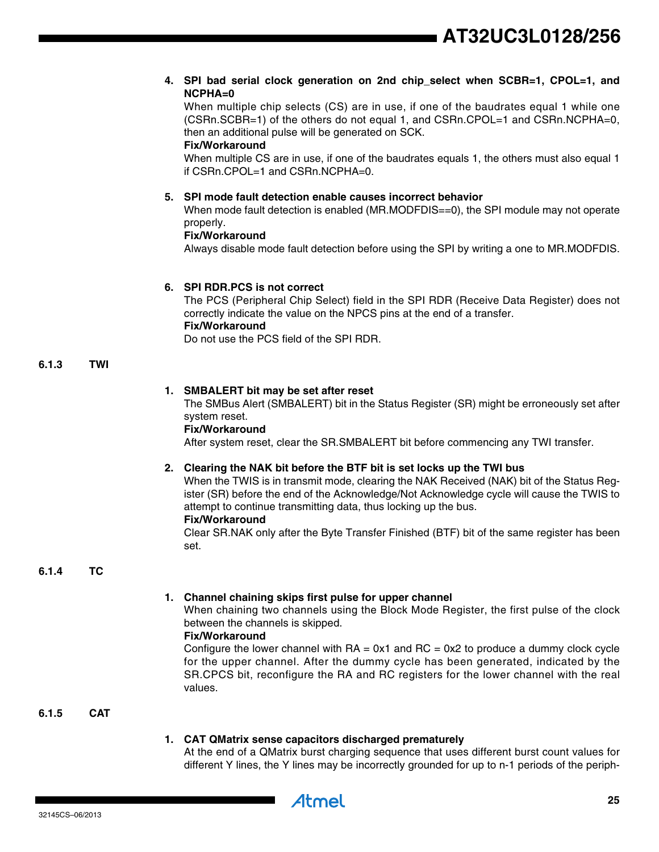#### **4. SPI bad serial clock generation on 2nd chip\_select when SCBR=1, CPOL=1, and NCPHA=0**

When multiple chip selects (CS) are in use, if one of the baudrates equal 1 while one (CSRn.SCBR=1) of the others do not equal 1, and CSRn.CPOL=1 and CSRn.NCPHA=0, then an additional pulse will be generated on SCK.

#### **Fix/Workaround**

When multiple CS are in use, if one of the baudrates equals 1, the others must also equal 1 if CSRn.CPOL=1 and CSRn.NCPHA=0.

#### **5. SPI mode fault detection enable causes incorrect behavior**

When mode fault detection is enabled (MR.MODFDIS==0), the SPI module may not operate properly.

#### **Fix/Workaround**

Always disable mode fault detection before using the SPI by writing a one to MR.MODFDIS.

#### **6. SPI RDR.PCS is not correct**

The PCS (Peripheral Chip Select) field in the SPI RDR (Receive Data Register) does not correctly indicate the value on the NPCS pins at the end of a transfer. **Fix/Workaround**

Do not use the PCS field of the SPI RDR.

#### **6.1.3 TWI**

#### **1. SMBALERT bit may be set after reset**

The SMBus Alert (SMBALERT) bit in the Status Register (SR) might be erroneously set after system reset.

#### **Fix/Workaround**

After system reset, clear the SR.SMBALERT bit before commencing any TWI transfer.

#### **2. Clearing the NAK bit before the BTF bit is set locks up the TWI bus**

When the TWIS is in transmit mode, clearing the NAK Received (NAK) bit of the Status Register (SR) before the end of the Acknowledge/Not Acknowledge cycle will cause the TWIS to attempt to continue transmitting data, thus locking up the bus.

### **Fix/Workaround**

Clear SR.NAK only after the Byte Transfer Finished (BTF) bit of the same register has been set.

#### **6.1.4 TC**

#### **1. Channel chaining skips first pulse for upper channel**

When chaining two channels using the Block Mode Register, the first pulse of the clock between the channels is skipped.

#### **Fix/Workaround**

Configure the lower channel with  $RA = 0x1$  and  $RC = 0x2$  to produce a dummy clock cycle for the upper channel. After the dummy cycle has been generated, indicated by the SR.CPCS bit, reconfigure the RA and RC registers for the lower channel with the real values.

#### **6.1.5 CAT**

#### **1. CAT QMatrix sense capacitors discharged prematurely**

At the end of a QMatrix burst charging sequence that uses different burst count values for different Y lines, the Y lines may be incorrectly grounded for up to n-1 periods of the periph-

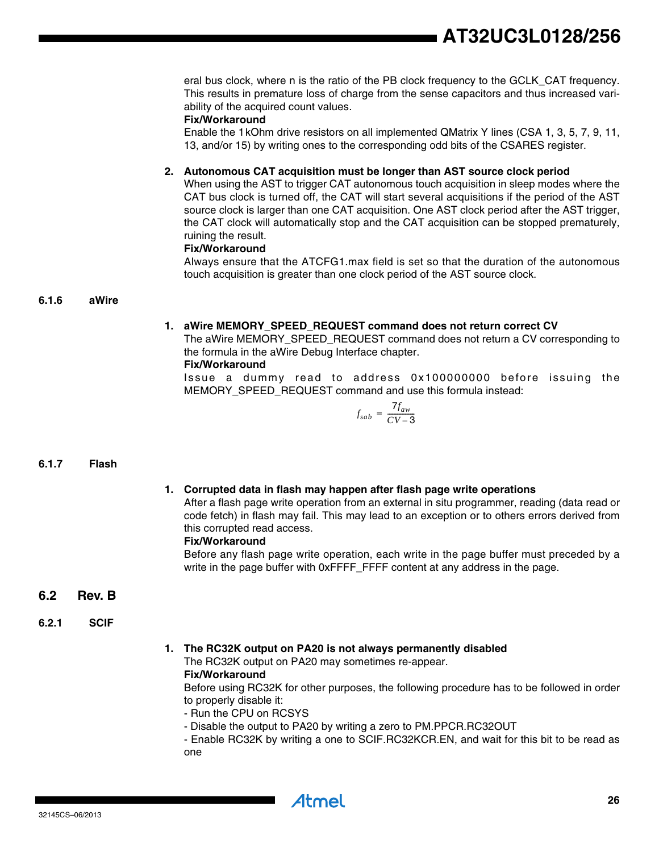eral bus clock, where n is the ratio of the PB clock frequency to the GCLK\_CAT frequency. This results in premature loss of charge from the sense capacitors and thus increased variability of the acquired count values.

#### **Fix/Workaround**

Enable the 1kOhm drive resistors on all implemented QMatrix Y lines (CSA 1, 3, 5, 7, 9, 11, 13, and/or 15) by writing ones to the corresponding odd bits of the CSARES register.

#### **2. Autonomous CAT acquisition must be longer than AST source clock period**

When using the AST to trigger CAT autonomous touch acquisition in sleep modes where the CAT bus clock is turned off, the CAT will start several acquisitions if the period of the AST source clock is larger than one CAT acquisition. One AST clock period after the AST trigger, the CAT clock will automatically stop and the CAT acquisition can be stopped prematurely, ruining the result.

#### **Fix/Workaround**

Always ensure that the ATCFG1.max field is set so that the duration of the autonomous touch acquisition is greater than one clock period of the AST source clock.

#### **6.1.6 aWire**

#### **1. aWire MEMORY\_SPEED\_REQUEST command does not return correct CV**

The aWire MEMORY\_SPEED\_REQUEST command does not return a CV corresponding to the formula in the aWire Debug Interface chapter.

#### **Fix/Workaround**

Issue a dummy read to address 0x100000000 before issuing the MEMORY\_SPEED\_REQUEST command and use this formula instead:

$$
f_{sab} = \frac{7 f_{aw}}{CV-3}
$$

#### **6.1.7 Flash**

#### **1. Corrupted data in flash may happen after flash page write operations**

After a flash page write operation from an external in situ programmer, reading (data read or code fetch) in flash may fail. This may lead to an exception or to others errors derived from this corrupted read access.

#### **Fix/Workaround**

Before any flash page write operation, each write in the page buffer must preceded by a write in the page buffer with 0xFFFF\_FFFF content at any address in the page.

#### <span id="page-25-0"></span>**6.2 Rev. B**

#### **6.2.1 SCIF**

#### **1. The RC32K output on PA20 is not always permanently disabled**

The RC32K output on PA20 may sometimes re-appear.

#### **Fix/Workaround**

Before using RC32K for other purposes, the following procedure has to be followed in order to properly disable it:

- Run the CPU on RCSYS
- Disable the output to PA20 by writing a zero to PM.PPCR.RC32OUT

- Enable RC32K by writing a one to SCIF.RC32KCR.EN, and wait for this bit to be read as one

32145CS–06/2013

Atmel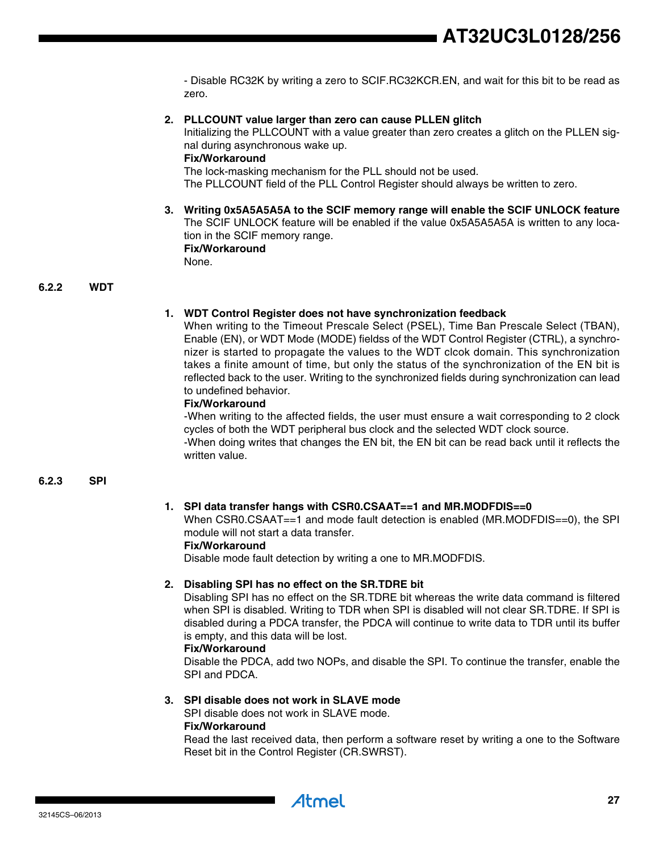- Disable RC32K by writing a zero to SCIF.RC32KCR.EN, and wait for this bit to be read as zero.

#### **2. PLLCOUNT value larger than zero can cause PLLEN glitch**

Initializing the PLLCOUNT with a value greater than zero creates a glitch on the PLLEN signal during asynchronous wake up.

#### **Fix/Workaround**

The lock-masking mechanism for the PLL should not be used.

The PLLCOUNT field of the PLL Control Register should always be written to zero.

**3. Writing 0x5A5A5A5A to the SCIF memory range will enable the SCIF UNLOCK feature** The SCIF UNLOCK feature will be enabled if the value 0x5A5A5A5A is written to any location in the SCIF memory range. **Fix/Workaround** None.

#### **6.2.2 WDT**

#### **1. WDT Control Register does not have synchronization feedback**

When writing to the Timeout Prescale Select (PSEL), Time Ban Prescale Select (TBAN), Enable (EN), or WDT Mode (MODE) fieldss of the WDT Control Register (CTRL), a synchronizer is started to propagate the values to the WDT clcok domain. This synchronization takes a finite amount of time, but only the status of the synchronization of the EN bit is reflected back to the user. Writing to the synchronized fields during synchronization can lead to undefined behavior.

#### **Fix/Workaround**

-When writing to the affected fields, the user must ensure a wait corresponding to 2 clock cycles of both the WDT peripheral bus clock and the selected WDT clock source.

-When doing writes that changes the EN bit, the EN bit can be read back until it reflects the written value.

#### **6.2.3 SPI**

#### **1. SPI data transfer hangs with CSR0.CSAAT==1 and MR.MODFDIS==0**

When CSR0.CSAAT==1 and mode fault detection is enabled (MR.MODFDIS==0), the SPI module will not start a data transfer. **Fix/Workaround**

Disable mode fault detection by writing a one to MR.MODFDIS.

#### **2. Disabling SPI has no effect on the SR.TDRE bit**

Disabling SPI has no effect on the SR.TDRE bit whereas the write data command is filtered when SPI is disabled. Writing to TDR when SPI is disabled will not clear SR.TDRE. If SPI is disabled during a PDCA transfer, the PDCA will continue to write data to TDR until its buffer is empty, and this data will be lost.

#### **Fix/Workaround**

Disable the PDCA, add two NOPs, and disable the SPI. To continue the transfer, enable the SPI and PDCA.

#### **3. SPI disable does not work in SLAVE mode**

SPI disable does not work in SLAVE mode.

#### **Fix/Workaround**

Read the last received data, then perform a software reset by writing a one to the Software Reset bit in the Control Register (CR.SWRST).

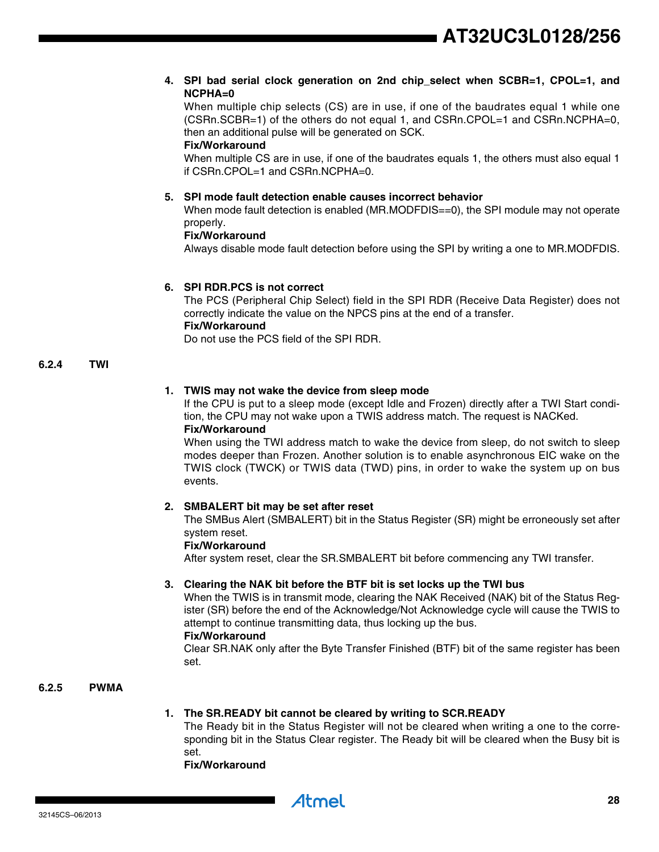#### **4. SPI bad serial clock generation on 2nd chip\_select when SCBR=1, CPOL=1, and NCPHA=0**

When multiple chip selects (CS) are in use, if one of the baudrates equal 1 while one (CSRn.SCBR=1) of the others do not equal 1, and CSRn.CPOL=1 and CSRn.NCPHA=0, then an additional pulse will be generated on SCK.

#### **Fix/Workaround**

When multiple CS are in use, if one of the baudrates equals 1, the others must also equal 1 if CSRn.CPOL=1 and CSRn.NCPHA=0.

#### **5. SPI mode fault detection enable causes incorrect behavior**

When mode fault detection is enabled (MR.MODFDIS==0), the SPI module may not operate properly.

#### **Fix/Workaround**

Always disable mode fault detection before using the SPI by writing a one to MR.MODFDIS.

#### **6. SPI RDR.PCS is not correct**

The PCS (Peripheral Chip Select) field in the SPI RDR (Receive Data Register) does not correctly indicate the value on the NPCS pins at the end of a transfer. **Fix/Workaround**

Do not use the PCS field of the SPI RDR.

#### **6.2.4 TWI**

#### **1. TWIS may not wake the device from sleep mode**

If the CPU is put to a sleep mode (except Idle and Frozen) directly after a TWI Start condition, the CPU may not wake upon a TWIS address match. The request is NACKed. **Fix/Workaround**

When using the TWI address match to wake the device from sleep, do not switch to sleep modes deeper than Frozen. Another solution is to enable asynchronous EIC wake on the TWIS clock (TWCK) or TWIS data (TWD) pins, in order to wake the system up on bus events.

#### **2. SMBALERT bit may be set after reset**

The SMBus Alert (SMBALERT) bit in the Status Register (SR) might be erroneously set after system reset.

#### **Fix/Workaround**

After system reset, clear the SR.SMBALERT bit before commencing any TWI transfer.

#### **3. Clearing the NAK bit before the BTF bit is set locks up the TWI bus**

When the TWIS is in transmit mode, clearing the NAK Received (NAK) bit of the Status Register (SR) before the end of the Acknowledge/Not Acknowledge cycle will cause the TWIS to attempt to continue transmitting data, thus locking up the bus.

#### **Fix/Workaround**

Clear SR.NAK only after the Byte Transfer Finished (BTF) bit of the same register has been set.

### **6.2.5 PWMA**

#### **1. The SR.READY bit cannot be cleared by writing to SCR.READY**

Atmel

The Ready bit in the Status Register will not be cleared when writing a one to the corresponding bit in the Status Clear register. The Ready bit will be cleared when the Busy bit is set.

**Fix/Workaround**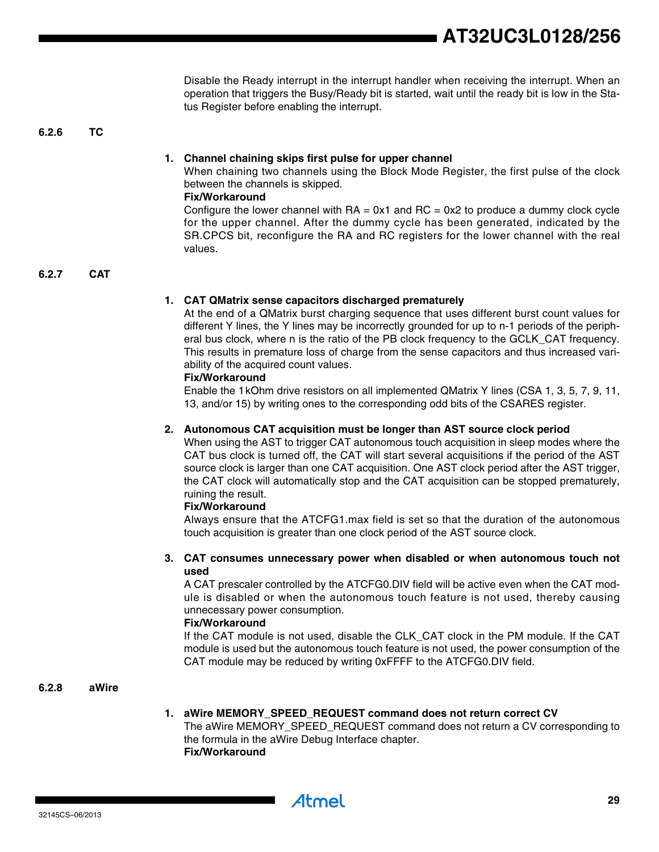Disable the Ready interrupt in the interrupt handler when receiving the interrupt. When an operation that triggers the Busy/Ready bit is started, wait until the ready bit is low in the Status Register before enabling the interrupt.

**6.2.6 TC**

#### **1. Channel chaining skips first pulse for upper channel**

When chaining two channels using the Block Mode Register, the first pulse of the clock between the channels is skipped.

#### **Fix/Workaround**

Configure the lower channel with  $RA = 0x1$  and  $RC = 0x2$  to produce a dummy clock cycle for the upper channel. After the dummy cycle has been generated, indicated by the SR.CPCS bit, reconfigure the RA and RC registers for the lower channel with the real values.

**6.2.7 CAT**

#### **1. CAT QMatrix sense capacitors discharged prematurely**

At the end of a QMatrix burst charging sequence that uses different burst count values for different Y lines, the Y lines may be incorrectly grounded for up to n-1 periods of the peripheral bus clock, where n is the ratio of the PB clock frequency to the GCLK\_CAT frequency. This results in premature loss of charge from the sense capacitors and thus increased variability of the acquired count values.

#### **Fix/Workaround**

Enable the 1kOhm drive resistors on all implemented QMatrix Y lines (CSA 1, 3, 5, 7, 9, 11, 13, and/or 15) by writing ones to the corresponding odd bits of the CSARES register.

#### **2. Autonomous CAT acquisition must be longer than AST source clock period**

When using the AST to trigger CAT autonomous touch acquisition in sleep modes where the CAT bus clock is turned off, the CAT will start several acquisitions if the period of the AST source clock is larger than one CAT acquisition. One AST clock period after the AST trigger, the CAT clock will automatically stop and the CAT acquisition can be stopped prematurely, ruining the result.

#### **Fix/Workaround**

Always ensure that the ATCFG1.max field is set so that the duration of the autonomous touch acquisition is greater than one clock period of the AST source clock.

#### **3. CAT consumes unnecessary power when disabled or when autonomous touch not used**

A CAT prescaler controlled by the ATCFG0.DIV field will be active even when the CAT module is disabled or when the autonomous touch feature is not used, thereby causing unnecessary power consumption.

#### **Fix/Workaround**

If the CAT module is not used, disable the CLK\_CAT clock in the PM module. If the CAT module is used but the autonomous touch feature is not used, the power consumption of the CAT module may be reduced by writing 0xFFFF to the ATCFG0.DIV field.

#### **6.2.8 aWire**

### **1. aWire MEMORY\_SPEED\_REQUEST command does not return correct CV**

The aWire MEMORY\_SPEED\_REQUEST command does not return a CV corresponding to the formula in the aWire Debug Interface chapter. **Fix/Workaround**

Atmel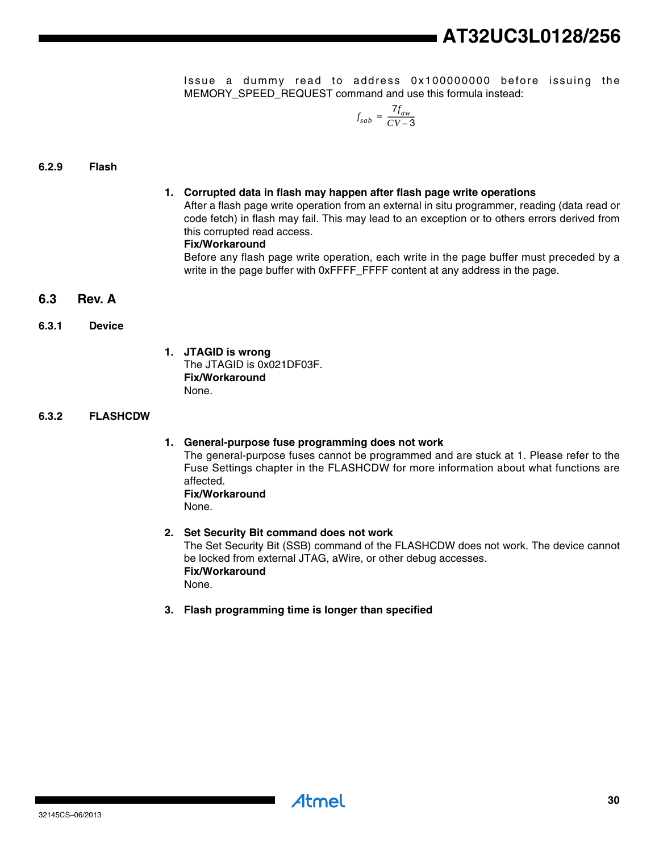Issue a dummy read to address 0x100000000 before issuing the MEMORY\_SPEED\_REQUEST command and use this formula instead:

$$
f_{sab} = \frac{7 f_{aw}}{CV-3}
$$

#### **6.2.9 Flash**

#### **1. Corrupted data in flash may happen after flash page write operations**

After a flash page write operation from an external in situ programmer, reading (data read or code fetch) in flash may fail. This may lead to an exception or to others errors derived from this corrupted read access.

#### **Fix/Workaround**

Before any flash page write operation, each write in the page buffer must preceded by a write in the page buffer with 0xFFFF\_FFFF content at any address in the page.

#### <span id="page-29-0"></span>**6.3 Rev. A**

#### **6.3.1 Device**

**1. JTAGID is wrong** The JTAGID is 0x021DF03F. **Fix/Workaround** None.

#### **6.3.2 FLASHCDW**

#### **1. General-purpose fuse programming does not work**

The general-purpose fuses cannot be programmed and are stuck at 1. Please refer to the Fuse Settings chapter in the FLASHCDW for more information about what functions are affected. **Fix/Workaround**

None.

# **2. Set Security Bit command does not work**

The Set Security Bit (SSB) command of the FLASHCDW does not work. The device cannot be locked from external JTAG, aWire, or other debug accesses. **Fix/Workaround** None.

**3. Flash programming time is longer than specified**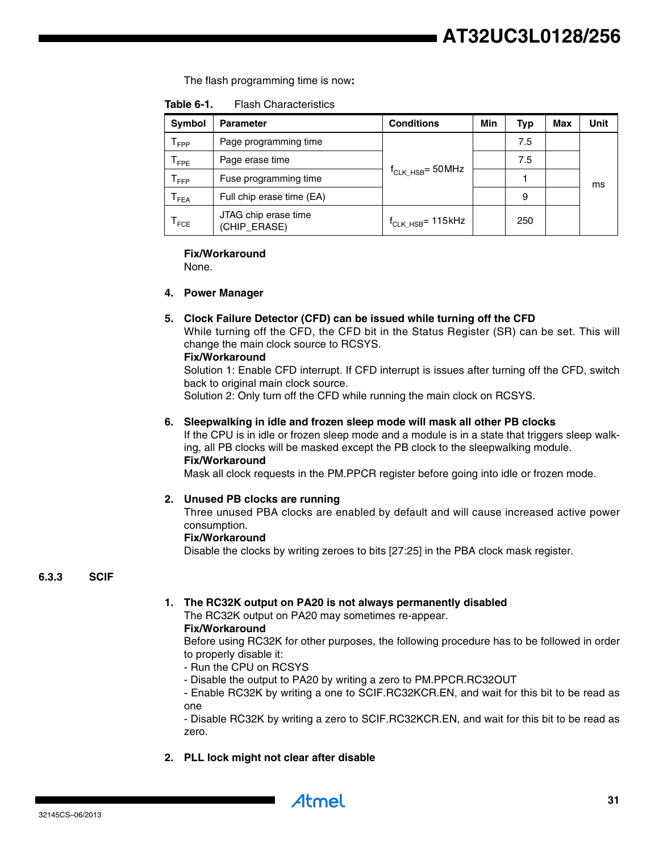# **AT32UC3L0128/256**

The flash programming time is now**:**

| <b>Flash Characteristics</b><br>Table 6-1. |
|--------------------------------------------|
|--------------------------------------------|

| <b>Symbol</b>               | <b>Parameter</b>                     | <b>Conditions</b>               | Min | Typ | Max | Unit |
|-----------------------------|--------------------------------------|---------------------------------|-----|-----|-----|------|
| ${\mathsf T}_{\mathsf FPP}$ | Page programming time                |                                 |     | 7.5 |     |      |
| $\mathsf{T}_{\mathsf{FPE}}$ | Page erase time                      |                                 |     | 7.5 |     |      |
| $\mathsf{T}_{\mathsf{FFP}}$ | Fuse programming time                | $\rm f_{CLK\_HSB}$ = 50 MHz     |     |     |     | ms   |
| $\mathsf{T}_{\mathsf{FEA}}$ | Full chip erase time (EA)            |                                 |     | 9   |     |      |
| $\mathsf{T}_{\mathsf{FCE}}$ | JTAG chip erase time<br>(CHIP_ERASE) | $\rm f_{\rm CLK\_HSB}$ = 115kHz |     | 250 |     |      |

#### **Fix/Workaround**

None.

#### **4. Power Manager**

#### **5. Clock Failure Detector (CFD) can be issued while turning off the CFD**

While turning off the CFD, the CFD bit in the Status Register (SR) can be set. This will change the main clock source to RCSYS.

#### **Fix/Workaround**

Solution 1: Enable CFD interrupt. If CFD interrupt is issues after turning off the CFD, switch back to original main clock source.

Solution 2: Only turn off the CFD while running the main clock on RCSYS.

#### **6. Sleepwalking in idle and frozen sleep mode will mask all other PB clocks**

If the CPU is in idle or frozen sleep mode and a module is in a state that triggers sleep walking, all PB clocks will be masked except the PB clock to the sleepwalking module. **Fix/Workaround**

Mask all clock requests in the PM.PPCR register before going into idle or frozen mode.

#### **2. Unused PB clocks are running**

Three unused PBA clocks are enabled by default and will cause increased active power consumption.

#### **Fix/Workaround**

Disable the clocks by writing zeroes to bits [27:25] in the PBA clock mask register.

#### **6.3.3 SCIF**

#### **1. The RC32K output on PA20 is not always permanently disabled**

The RC32K output on PA20 may sometimes re-appear.

# **Fix/Workaround**

Before using RC32K for other purposes, the following procedure has to be followed in order to properly disable it:

- Run the CPU on RCSYS
- Disable the output to PA20 by writing a zero to PM.PPCR.RC32OUT

- Enable RC32K by writing a one to SCIF.RC32KCR.EN, and wait for this bit to be read as one

- Disable RC32K by writing a zero to SCIF.RC32KCR.EN, and wait for this bit to be read as zero.

**2. PLL lock might not clear after disable**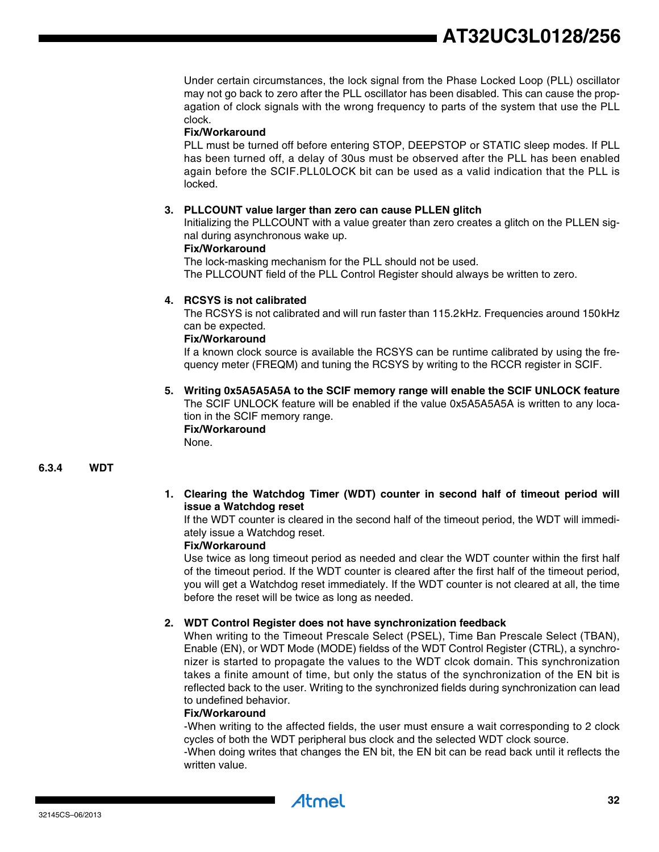Under certain circumstances, the lock signal from the Phase Locked Loop (PLL) oscillator may not go back to zero after the PLL oscillator has been disabled. This can cause the propagation of clock signals with the wrong frequency to parts of the system that use the PLL clock.

### **Fix/Workaround**

PLL must be turned off before entering STOP, DEEPSTOP or STATIC sleep modes. If PLL has been turned off, a delay of 30us must be observed after the PLL has been enabled again before the SCIF.PLL0LOCK bit can be used as a valid indication that the PLL is locked.

#### **3. PLLCOUNT value larger than zero can cause PLLEN glitch**

Initializing the PLLCOUNT with a value greater than zero creates a glitch on the PLLEN signal during asynchronous wake up.

#### **Fix/Workaround**

The lock-masking mechanism for the PLL should not be used.

The PLLCOUNT field of the PLL Control Register should always be written to zero.

#### **4. RCSYS is not calibrated**

The RCSYS is not calibrated and will run faster than 115.2kHz. Frequencies around 150kHz can be expected.

#### **Fix/Workaround**

If a known clock source is available the RCSYS can be runtime calibrated by using the frequency meter (FREQM) and tuning the RCSYS by writing to the RCCR register in SCIF.

#### **5. Writing 0x5A5A5A5A to the SCIF memory range will enable the SCIF UNLOCK feature** The SCIF UNLOCK feature will be enabled if the value 0x5A5A5A5A is written to any loca-

tion in the SCIF memory range.

### **Fix/Workaround**

None.

#### **6.3.4 WDT**

**1. Clearing the Watchdog Timer (WDT) counter in second half of timeout period will issue a Watchdog reset**

If the WDT counter is cleared in the second half of the timeout period, the WDT will immediately issue a Watchdog reset.

#### **Fix/Workaround**

Use twice as long timeout period as needed and clear the WDT counter within the first half of the timeout period. If the WDT counter is cleared after the first half of the timeout period, you will get a Watchdog reset immediately. If the WDT counter is not cleared at all, the time before the reset will be twice as long as needed.

#### **2. WDT Control Register does not have synchronization feedback**

When writing to the Timeout Prescale Select (PSEL), Time Ban Prescale Select (TBAN), Enable (EN), or WDT Mode (MODE) fieldss of the WDT Control Register (CTRL), a synchronizer is started to propagate the values to the WDT clcok domain. This synchronization takes a finite amount of time, but only the status of the synchronization of the EN bit is reflected back to the user. Writing to the synchronized fields during synchronization can lead to undefined behavior.

#### **Fix/Workaround**

-When writing to the affected fields, the user must ensure a wait corresponding to 2 clock cycles of both the WDT peripheral bus clock and the selected WDT clock source.

-When doing writes that changes the EN bit, the EN bit can be read back until it reflects the written value.

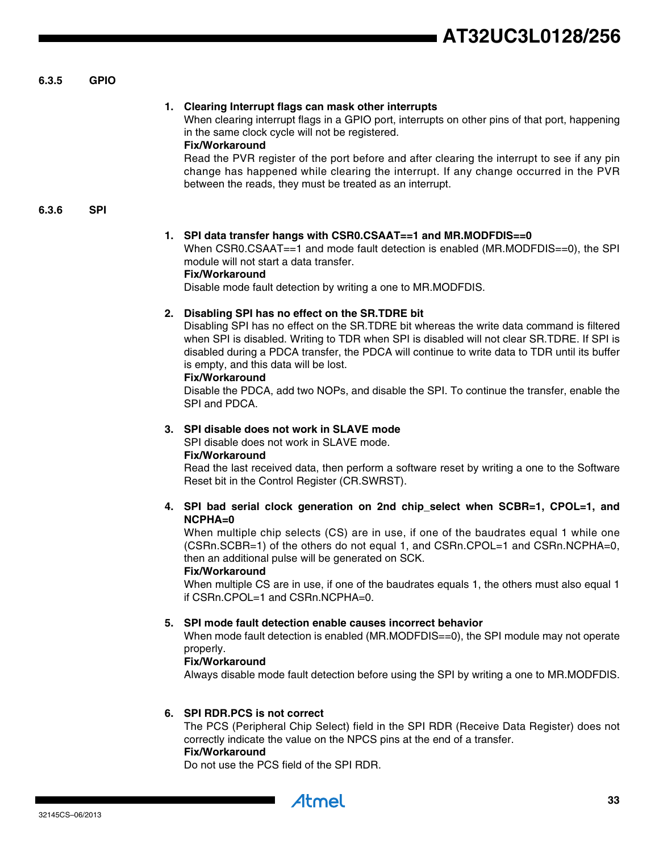#### **6.3.5 GPIO**

#### **1. Clearing Interrupt flags can mask other interrupts**

When clearing interrupt flags in a GPIO port, interrupts on other pins of that port, happening in the same clock cycle will not be registered.

#### **Fix/Workaround**

Read the PVR register of the port before and after clearing the interrupt to see if any pin change has happened while clearing the interrupt. If any change occurred in the PVR between the reads, they must be treated as an interrupt.

**6.3.6 SPI**

#### **1. SPI data transfer hangs with CSR0.CSAAT==1 and MR.MODFDIS==0**

When CSR0.CSAAT==1 and mode fault detection is enabled (MR.MODFDIS==0), the SPI module will not start a data transfer.

#### **Fix/Workaround**

Disable mode fault detection by writing a one to MR.MODFDIS.

#### **2. Disabling SPI has no effect on the SR.TDRE bit**

Disabling SPI has no effect on the SR.TDRE bit whereas the write data command is filtered when SPI is disabled. Writing to TDR when SPI is disabled will not clear SR.TDRE. If SPI is disabled during a PDCA transfer, the PDCA will continue to write data to TDR until its buffer is empty, and this data will be lost.

#### **Fix/Workaround**

Disable the PDCA, add two NOPs, and disable the SPI. To continue the transfer, enable the SPI and PDCA.

#### **3. SPI disable does not work in SLAVE mode**

SPI disable does not work in SLAVE mode.

#### **Fix/Workaround**

Read the last received data, then perform a software reset by writing a one to the Software Reset bit in the Control Register (CR.SWRST).

#### **4. SPI bad serial clock generation on 2nd chip\_select when SCBR=1, CPOL=1, and NCPHA=0**

When multiple chip selects (CS) are in use, if one of the baudrates equal 1 while one (CSRn.SCBR=1) of the others do not equal 1, and CSRn.CPOL=1 and CSRn.NCPHA=0, then an additional pulse will be generated on SCK.

#### **Fix/Workaround**

When multiple CS are in use, if one of the baudrates equals 1, the others must also equal 1 if CSRn.CPOL=1 and CSRn.NCPHA=0.

#### **5. SPI mode fault detection enable causes incorrect behavior**

When mode fault detection is enabled (MR.MODFDIS==0), the SPI module may not operate properly.

#### **Fix/Workaround**

Always disable mode fault detection before using the SPI by writing a one to MR.MODFDIS.

#### **6. SPI RDR.PCS is not correct**

The PCS (Peripheral Chip Select) field in the SPI RDR (Receive Data Register) does not correctly indicate the value on the NPCS pins at the end of a transfer. **Fix/Workaround**

Do not use the PCS field of the SPI RDR.

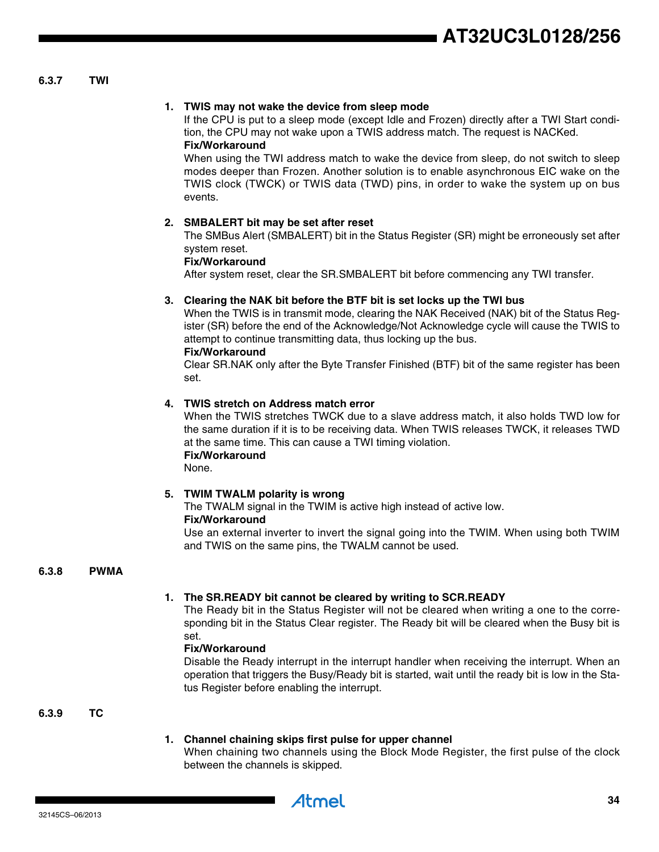#### **6.3.7 TWI**

#### **1. TWIS may not wake the device from sleep mode**

If the CPU is put to a sleep mode (except Idle and Frozen) directly after a TWI Start condition, the CPU may not wake upon a TWIS address match. The request is NACKed. **Fix/Workaround**

When using the TWI address match to wake the device from sleep, do not switch to sleep modes deeper than Frozen. Another solution is to enable asynchronous EIC wake on the TWIS clock (TWCK) or TWIS data (TWD) pins, in order to wake the system up on bus events.

#### **2. SMBALERT bit may be set after reset**

The SMBus Alert (SMBALERT) bit in the Status Register (SR) might be erroneously set after system reset.

#### **Fix/Workaround**

After system reset, clear the SR.SMBALERT bit before commencing any TWI transfer.

#### **3. Clearing the NAK bit before the BTF bit is set locks up the TWI bus**

When the TWIS is in transmit mode, clearing the NAK Received (NAK) bit of the Status Register (SR) before the end of the Acknowledge/Not Acknowledge cycle will cause the TWIS to attempt to continue transmitting data, thus locking up the bus.

#### **Fix/Workaround**

Clear SR.NAK only after the Byte Transfer Finished (BTF) bit of the same register has been set.

#### **4. TWIS stretch on Address match error**

When the TWIS stretches TWCK due to a slave address match, it also holds TWD low for the same duration if it is to be receiving data. When TWIS releases TWCK, it releases TWD at the same time. This can cause a TWI timing violation. **Fix/Workaround**

None.

#### **5. TWIM TWALM polarity is wrong**

The TWALM signal in the TWIM is active high instead of active low. **Fix/Workaround**

Use an external inverter to invert the signal going into the TWIM. When using both TWIM and TWIS on the same pins, the TWALM cannot be used.

#### **6.3.8 PWMA**

#### **1. The SR.READY bit cannot be cleared by writing to SCR.READY**

The Ready bit in the Status Register will not be cleared when writing a one to the corresponding bit in the Status Clear register. The Ready bit will be cleared when the Busy bit is set.

#### **Fix/Workaround**

Disable the Ready interrupt in the interrupt handler when receiving the interrupt. When an operation that triggers the Busy/Ready bit is started, wait until the ready bit is low in the Status Register before enabling the interrupt.

#### **6.3.9 TC**

#### **1. Channel chaining skips first pulse for upper channel**

When chaining two channels using the Block Mode Register, the first pulse of the clock between the channels is skipped.

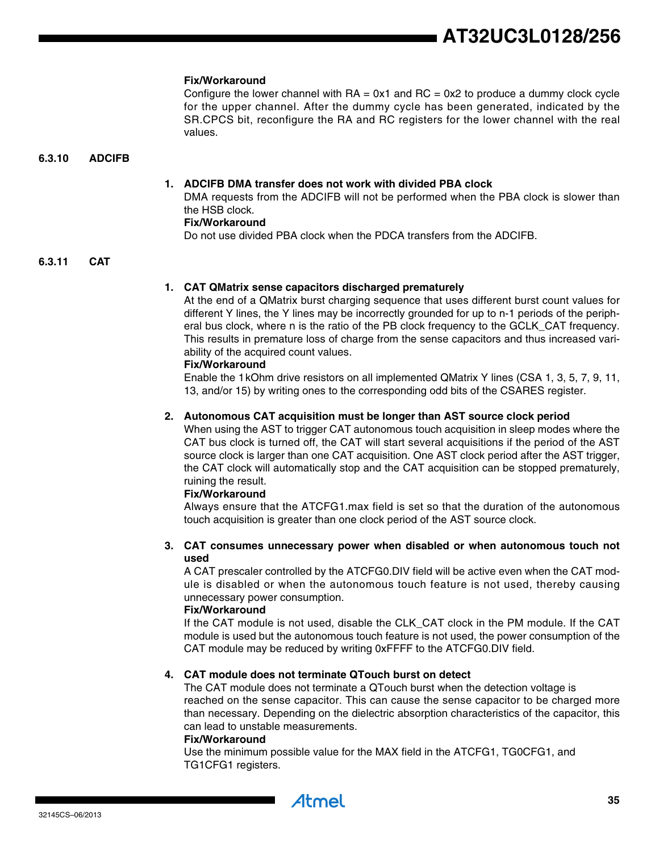#### **Fix/Workaround**

Configure the lower channel with  $RA = 0x1$  and  $RC = 0x2$  to produce a dummy clock cycle for the upper channel. After the dummy cycle has been generated, indicated by the SR.CPCS bit, reconfigure the RA and RC registers for the lower channel with the real values.

#### **6.3.10 ADCIFB**

#### **1. ADCIFB DMA transfer does not work with divided PBA clock**

DMA requests from the ADCIFB will not be performed when the PBA clock is slower than the HSB clock.

#### **Fix/Workaround**

Do not use divided PBA clock when the PDCA transfers from the ADCIFB.

#### **6.3.11 CAT**

#### **1. CAT QMatrix sense capacitors discharged prematurely**

At the end of a QMatrix burst charging sequence that uses different burst count values for different Y lines, the Y lines may be incorrectly grounded for up to n-1 periods of the peripheral bus clock, where n is the ratio of the PB clock frequency to the GCLK\_CAT frequency. This results in premature loss of charge from the sense capacitors and thus increased variability of the acquired count values.

#### **Fix/Workaround**

Enable the 1kOhm drive resistors on all implemented QMatrix Y lines (CSA 1, 3, 5, 7, 9, 11, 13, and/or 15) by writing ones to the corresponding odd bits of the CSARES register.

#### **2. Autonomous CAT acquisition must be longer than AST source clock period**

When using the AST to trigger CAT autonomous touch acquisition in sleep modes where the CAT bus clock is turned off, the CAT will start several acquisitions if the period of the AST source clock is larger than one CAT acquisition. One AST clock period after the AST trigger, the CAT clock will automatically stop and the CAT acquisition can be stopped prematurely, ruining the result.

#### **Fix/Workaround**

Always ensure that the ATCFG1.max field is set so that the duration of the autonomous touch acquisition is greater than one clock period of the AST source clock.

#### **3. CAT consumes unnecessary power when disabled or when autonomous touch not used**

A CAT prescaler controlled by the ATCFG0.DIV field will be active even when the CAT module is disabled or when the autonomous touch feature is not used, thereby causing unnecessary power consumption.

#### **Fix/Workaround**

If the CAT module is not used, disable the CLK\_CAT clock in the PM module. If the CAT module is used but the autonomous touch feature is not used, the power consumption of the CAT module may be reduced by writing 0xFFFF to the ATCFG0.DIV field.

#### **4. CAT module does not terminate QTouch burst on detect**

The CAT module does not terminate a QTouch burst when the detection voltage is reached on the sense capacitor. This can cause the sense capacitor to be charged more than necessary. Depending on the dielectric absorption characteristics of the capacitor, this can lead to unstable measurements.

#### **Fix/Workaround**

Use the minimum possible value for the MAX field in the ATCFG1, TG0CFG1, and TG1CFG1 registers.

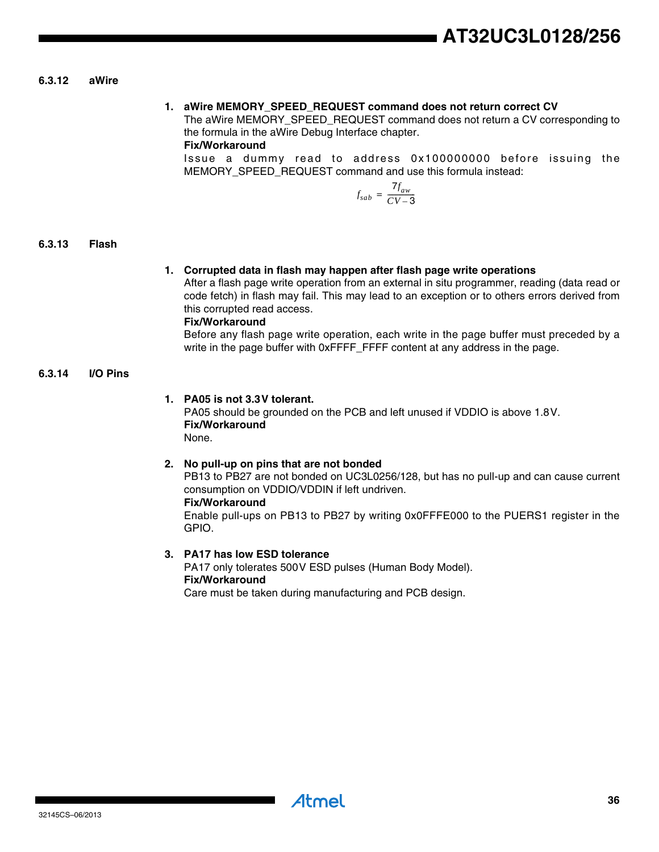#### **6.3.12 aWire**

#### **1. aWire MEMORY\_SPEED\_REQUEST command does not return correct CV**

The aWire MEMORY\_SPEED\_REQUEST command does not return a CV corresponding to the formula in the aWire Debug Interface chapter.

#### **Fix/Workaround**

Issue a dummy read to address 0x100000000 before issuing the MEMORY\_SPEED\_REQUEST command and use this formula instead:

$$
f_{sab} = \frac{7 f_{aw}}{CV-3}
$$

#### **6.3.13 Flash**

#### **1. Corrupted data in flash may happen after flash page write operations**

After a flash page write operation from an external in situ programmer, reading (data read or code fetch) in flash may fail. This may lead to an exception or to others errors derived from this corrupted read access.

### **Fix/Workaround**

Before any flash page write operation, each write in the page buffer must preceded by a write in the page buffer with 0xFFFF\_FFFF content at any address in the page.

#### **6.3.14 I/O Pins**

#### **1. PA05 is not 3.3V tolerant.**

PA05 should be grounded on the PCB and left unused if VDDIO is above 1.8V. **Fix/Workaround** None.

#### **2. No pull-up on pins that are not bonded**

PB13 to PB27 are not bonded on UC3L0256/128, but has no pull-up and can cause current consumption on VDDIO/VDDIN if left undriven.

#### **Fix/Workaround**

Enable pull-ups on PB13 to PB27 by writing 0x0FFFE000 to the PUERS1 register in the GPIO.

#### **3. PA17 has low ESD tolerance**

PA17 only tolerates 500V ESD pulses (Human Body Model). **Fix/Workaround**

Care must be taken during manufacturing and PCB design.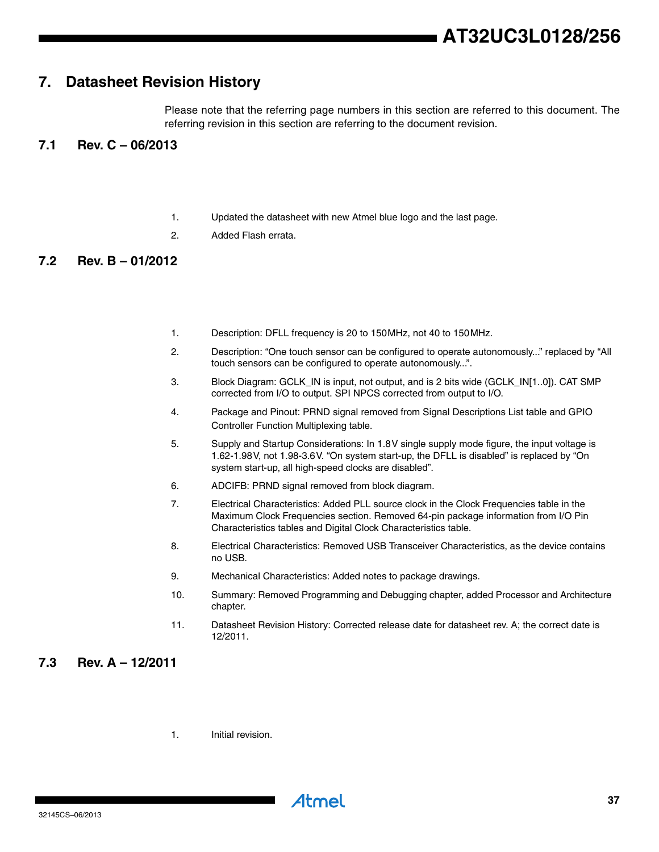# <span id="page-36-0"></span>**7. Datasheet Revision History**

Please note that the referring page numbers in this section are referred to this document. The referring revision in this section are referring to the document revision.

## <span id="page-36-1"></span>**7.1 Rev. C – 06/2013**

- 1. Updated the datasheet with new Atmel blue logo and the last page.
- 2. Added Flash errata.

# <span id="page-36-2"></span>**7.2 Rev. B – 01/2012**

- 1. Description: DFLL frequency is 20 to 150MHz, not 40 to 150MHz.
- 2. Description: "One touch sensor can be configured to operate autonomously..." replaced by "All touch sensors can be configured to operate autonomously...".
- 3. Block Diagram: GCLK\_IN is input, not output, and is 2 bits wide (GCLK\_IN[1..0]). CAT SMP corrected from I/O to output. SPI NPCS corrected from output to I/O.
- 4. Package and Pinout: PRND signal removed from Signal Descriptions List table and GPIO Controller Function Multiplexing table.
- 5. Supply and Startup Considerations: In 1.8V single supply mode figure, the input voltage is 1.62-1.98V, not 1.98-3.6V. "On system start-up, the DFLL is disabled" is replaced by "On system start-up, all high-speed clocks are disabled".
- 6. ADCIFB: PRND signal removed from block diagram.
- 7. Electrical Characteristics: Added PLL source clock in the Clock Frequencies table in the Maximum Clock Frequencies section. Removed 64-pin package information from I/O Pin Characteristics tables and Digital Clock Characteristics table.
- 8. Electrical Characteristics: Removed USB Transceiver Characteristics, as the device contains no USB.
- 9. Mechanical Characteristics: Added notes to package drawings.
- 10. Summary: Removed Programming and Debugging chapter, added Processor and Architecture chapter.
- 11. Datasheet Revision History: Corrected release date for datasheet rev. A; the correct date is 12/2011.

## <span id="page-36-3"></span>**7.3 Rev. A – 12/2011**

1. Initial revision.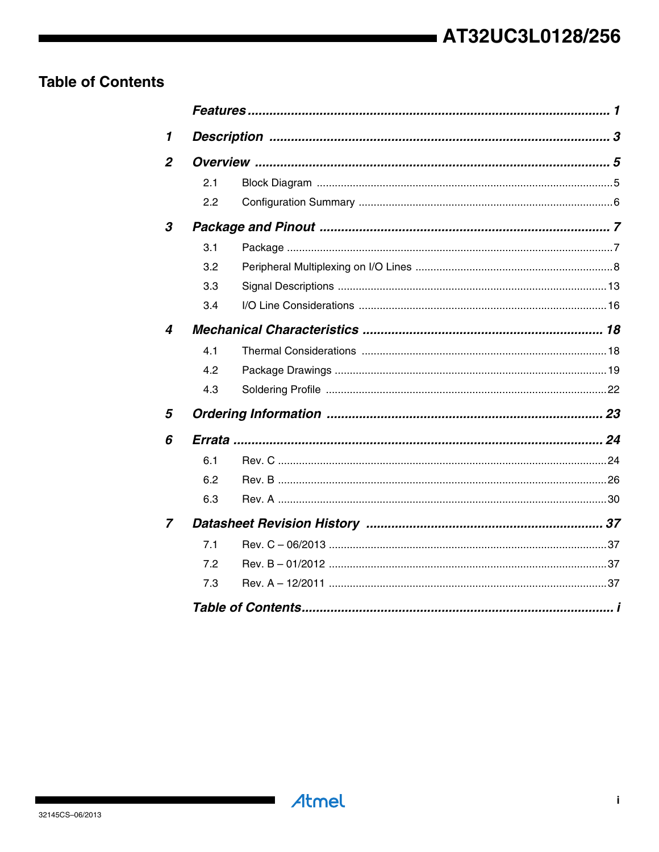# <span id="page-37-0"></span>**Table of Contents**

| 1                |     |  |
|------------------|-----|--|
| $\overline{2}$   |     |  |
|                  | 2.1 |  |
|                  | 2.2 |  |
| 3                |     |  |
|                  | 3.1 |  |
|                  | 3.2 |  |
|                  | 3.3 |  |
|                  | 3.4 |  |
| $\boldsymbol{4}$ |     |  |
|                  | 4.1 |  |
|                  | 4.2 |  |
|                  | 4.3 |  |
| 5                |     |  |
| 6                |     |  |
|                  | 6.1 |  |
|                  | 6.2 |  |
|                  | 6.3 |  |
| $\overline{z}$   |     |  |
|                  | 7.1 |  |
|                  | 7.2 |  |
|                  | 7.3 |  |
|                  |     |  |